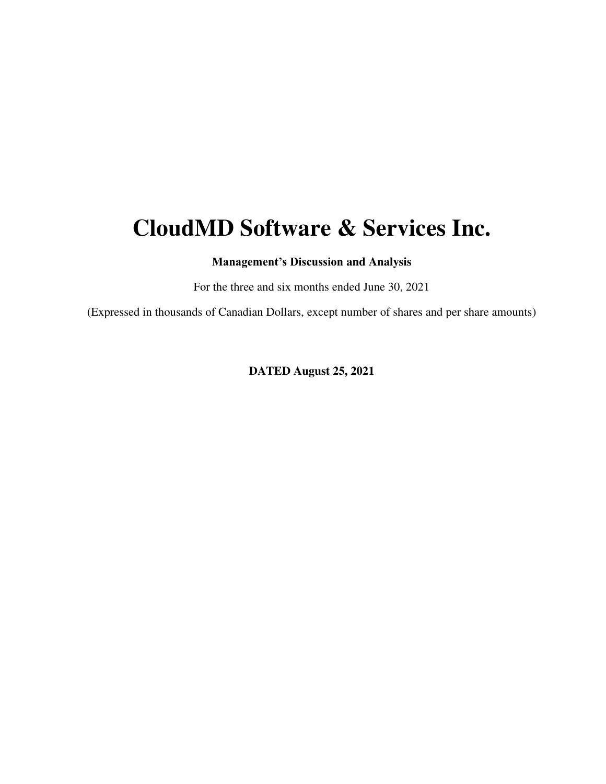# **CloudMD Software & Services Inc.**

**Management's Discussion and Analysis** 

For the three and six months ended June 30, 2021

(Expressed in thousands of Canadian Dollars, except number of shares and per share amounts)

**DATED August 25, 2021**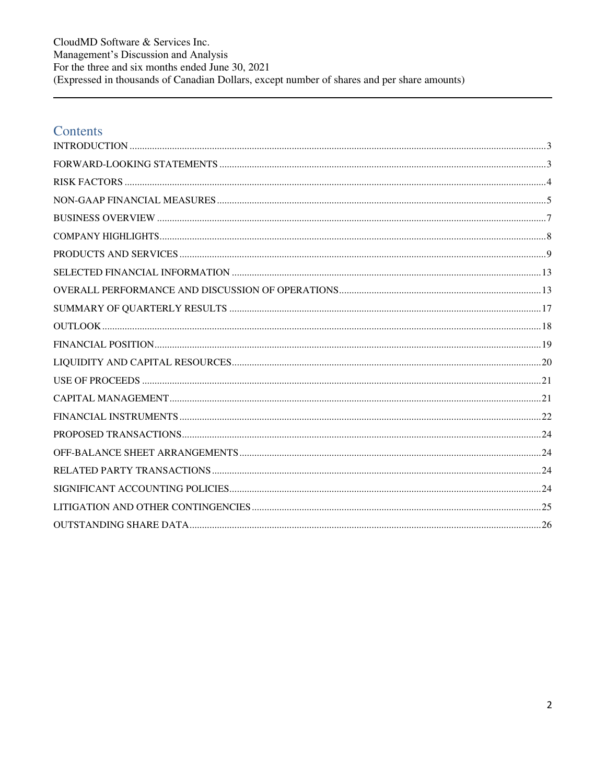CloudMD Software & Services Inc. Management's Discussion and Analysis For the three and six months ended June 30, 2021 (Expressed in thousands of Canadian Dollars, except number of shares and per share amounts)

### Contents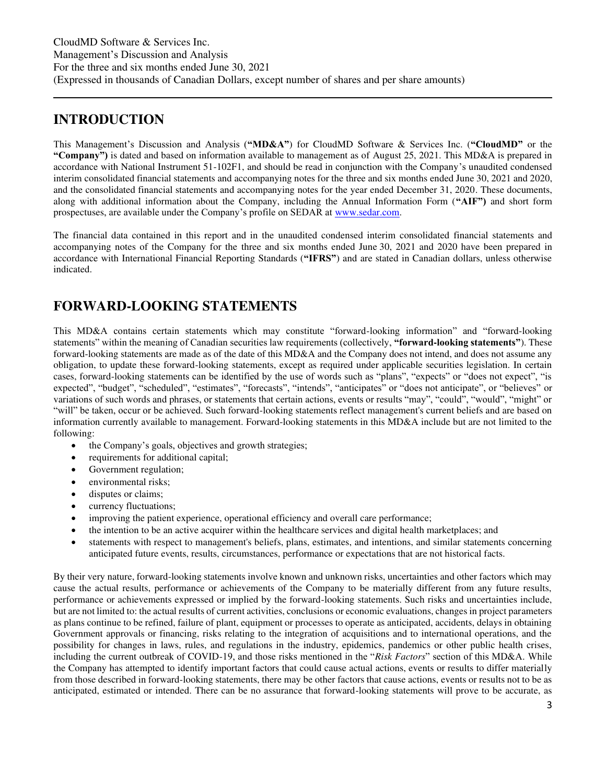### <span id="page-2-0"></span>**INTRODUCTION**

This Management's Discussion and Analysis (**"MD&A"**) for CloudMD Software & Services Inc. (**"CloudMD"** or the **"Company")** is dated and based on information available to management as of August 25, 2021. This MD&A is prepared in accordance with National Instrument 51-102F1, and should be read in conjunction with the Company's unaudited condensed interim consolidated financial statements and accompanying notes for the three and six months ended June 30, 2021 and 2020, and the consolidated financial statements and accompanying notes for the year ended December 31, 2020. These documents, along with additional information about the Company, including the Annual Information Form (**"AIF")** and short form prospectuses, are available under the Company's profile on SEDAR at [www.sedar.com.](http://www.sedar.com/)

The financial data contained in this report and in the unaudited condensed interim consolidated financial statements and accompanying notes of the Company for the three and six months ended June 30, 2021 and 2020 have been prepared in accordance with International Financial Reporting Standards (**"IFRS"**) and are stated in Canadian dollars, unless otherwise indicated.

### <span id="page-2-1"></span>**FORWARD-LOOKING STATEMENTS**

This MD&A contains certain statements which may constitute "forward-looking information" and "forward-looking statements" within the meaning of Canadian securities law requirements (collectively, **"forward-looking statements"**). These forward-looking statements are made as of the date of this MD&A and the Company does not intend, and does not assume any obligation, to update these forward-looking statements, except as required under applicable securities legislation. In certain cases, forward-looking statements can be identified by the use of words such as "plans", "expects" or "does not expect", "is expected", "budget", "scheduled", "estimates", "forecasts", "intends", "anticipates" or "does not anticipate", or "believes" or variations of such words and phrases, or statements that certain actions, events or results "may", "could", "would", "might" or "will" be taken, occur or be achieved. Such forward-looking statements reflect management's current beliefs and are based on information currently available to management. Forward-looking statements in this MD&A include but are not limited to the following:

- the Company's goals, objectives and growth strategies;
- requirements for additional capital;
- Government regulation;
- environmental risks;
- disputes or claims;
- currency fluctuations;
- improving the patient experience, operational efficiency and overall care performance;
- the intention to be an active acquirer within the healthcare services and digital health marketplaces; and
- statements with respect to management's beliefs, plans, estimates, and intentions, and similar statements concerning anticipated future events, results, circumstances, performance or expectations that are not historical facts.

By their very nature, forward-looking statements involve known and unknown risks, uncertainties and other factors which may cause the actual results, performance or achievements of the Company to be materially different from any future results, performance or achievements expressed or implied by the forward-looking statements. Such risks and uncertainties include, but are not limited to: the actual results of current activities, conclusions or economic evaluations, changes in project parameters as plans continue to be refined, failure of plant, equipment or processes to operate as anticipated, accidents, delays in obtaining Government approvals or financing, risks relating to the integration of acquisitions and to international operations, and the possibility for changes in laws, rules, and regulations in the industry, epidemics, pandemics or other public health crises, including the current outbreak of COVID-19, and those risks mentioned in the "*Risk Factors*" section of this MD&A. While the Company has attempted to identify important factors that could cause actual actions, events or results to differ materially from those described in forward-looking statements, there may be other factors that cause actions, events or results not to be as anticipated, estimated or intended. There can be no assurance that forward-looking statements will prove to be accurate, as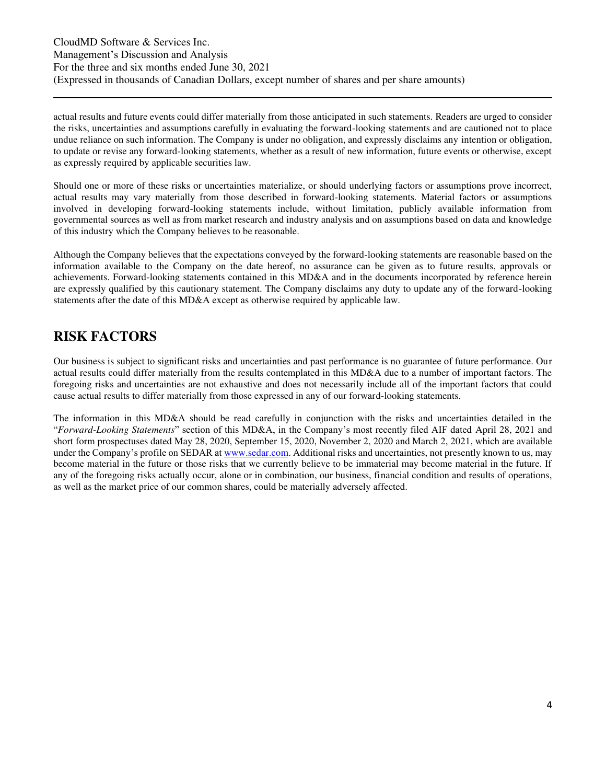CloudMD Software & Services Inc. Management's Discussion and Analysis For the three and six months ended June 30, 2021 (Expressed in thousands of Canadian Dollars, except number of shares and per share amounts)

actual results and future events could differ materially from those anticipated in such statements. Readers are urged to consider the risks, uncertainties and assumptions carefully in evaluating the forward-looking statements and are cautioned not to place undue reliance on such information. The Company is under no obligation, and expressly disclaims any intention or obligation, to update or revise any forward-looking statements, whether as a result of new information, future events or otherwise, except as expressly required by applicable securities law.

Should one or more of these risks or uncertainties materialize, or should underlying factors or assumptions prove incorrect, actual results may vary materially from those described in forward-looking statements. Material factors or assumptions involved in developing forward-looking statements include, without limitation, publicly available information from governmental sources as well as from market research and industry analysis and on assumptions based on data and knowledge of this industry which the Company believes to be reasonable.

Although the Company believes that the expectations conveyed by the forward-looking statements are reasonable based on the information available to the Company on the date hereof, no assurance can be given as to future results, approvals or achievements. Forward-looking statements contained in this MD&A and in the documents incorporated by reference herein are expressly qualified by this cautionary statement. The Company disclaims any duty to update any of the forward-looking statements after the date of this MD&A except as otherwise required by applicable law.

### <span id="page-3-0"></span>**RISK FACTORS**

Our business is subject to significant risks and uncertainties and past performance is no guarantee of future performance. Our actual results could differ materially from the results contemplated in this MD&A due to a number of important factors. The foregoing risks and uncertainties are not exhaustive and does not necessarily include all of the important factors that could cause actual results to differ materially from those expressed in any of our forward-looking statements.

The information in this MD&A should be read carefully in conjunction with the risks and uncertainties detailed in the "*Forward-Looking Statements*" section of this MD&A, in the Company's most recently filed AIF dated April 28, 2021 and short form prospectuses dated May 28, 2020, September 15, 2020, November 2, 2020 and March 2, 2021, which are available under the Company's profile on SEDAR at [www.sedar.com.](http://www.sedar.com/) Additional risks and uncertainties, not presently known to us, may become material in the future or those risks that we currently believe to be immaterial may become material in the future. If any of the foregoing risks actually occur, alone or in combination, our business, financial condition and results of operations, as well as the market price of our common shares, could be materially adversely affected.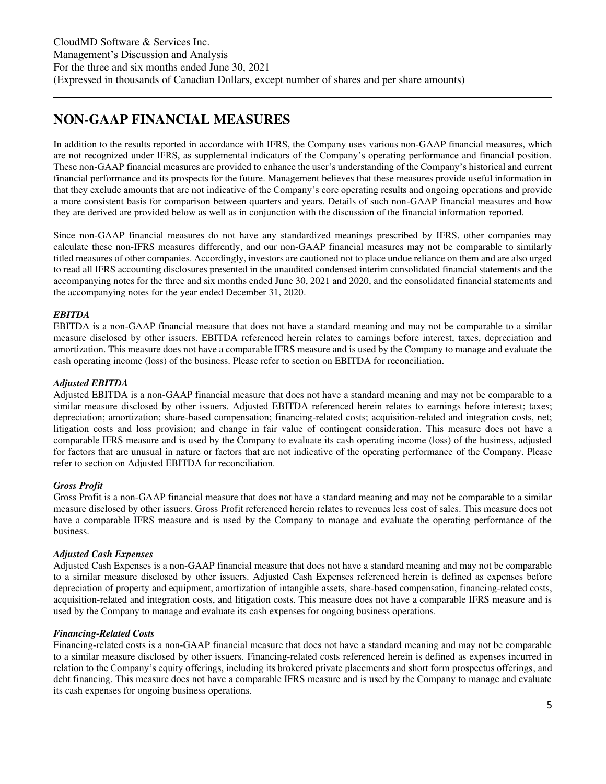### <span id="page-4-0"></span>**NON-GAAP FINANCIAL MEASURES**

In addition to the results reported in accordance with IFRS, the Company uses various non-GAAP financial measures, which are not recognized under IFRS, as supplemental indicators of the Company's operating performance and financial position. These non-GAAP financial measures are provided to enhance the user's understanding of the Company's historical and current financial performance and its prospects for the future. Management believes that these measures provide useful information in that they exclude amounts that are not indicative of the Company's core operating results and ongoing operations and provide a more consistent basis for comparison between quarters and years. Details of such non-GAAP financial measures and how they are derived are provided below as well as in conjunction with the discussion of the financial information reported.

Since non-GAAP financial measures do not have any standardized meanings prescribed by IFRS, other companies may calculate these non-IFRS measures differently, and our non-GAAP financial measures may not be comparable to similarly titled measures of other companies. Accordingly, investors are cautioned not to place undue reliance on them and are also urged to read all IFRS accounting disclosures presented in the unaudited condensed interim consolidated financial statements and the accompanying notes for the three and six months ended June 30, 2021 and 2020, and the consolidated financial statements and the accompanying notes for the year ended December 31, 2020.

#### *EBITDA*

EBITDA is a non-GAAP financial measure that does not have a standard meaning and may not be comparable to a similar measure disclosed by other issuers. EBITDA referenced herein relates to earnings before interest, taxes, depreciation and amortization. This measure does not have a comparable IFRS measure and is used by the Company to manage and evaluate the cash operating income (loss) of the business. Please refer to section on EBITDA for reconciliation.

#### *Adjusted EBITDA*

Adjusted EBITDA is a non-GAAP financial measure that does not have a standard meaning and may not be comparable to a similar measure disclosed by other issuers. Adjusted EBITDA referenced herein relates to earnings before interest; taxes; depreciation; amortization; share-based compensation; financing-related costs; acquisition-related and integration costs, net; litigation costs and loss provision; and change in fair value of contingent consideration. This measure does not have a comparable IFRS measure and is used by the Company to evaluate its cash operating income (loss) of the business, adjusted for factors that are unusual in nature or factors that are not indicative of the operating performance of the Company. Please refer to section on Adjusted EBITDA for reconciliation.

#### *Gross Profit*

Gross Profit is a non-GAAP financial measure that does not have a standard meaning and may not be comparable to a similar measure disclosed by other issuers. Gross Profit referenced herein relates to revenues less cost of sales. This measure does not have a comparable IFRS measure and is used by the Company to manage and evaluate the operating performance of the business.

#### *Adjusted Cash Expenses*

Adjusted Cash Expenses is a non-GAAP financial measure that does not have a standard meaning and may not be comparable to a similar measure disclosed by other issuers. Adjusted Cash Expenses referenced herein is defined as expenses before depreciation of property and equipment, amortization of intangible assets, share-based compensation, financing-related costs, acquisition-related and integration costs, and litigation costs. This measure does not have a comparable IFRS measure and is used by the Company to manage and evaluate its cash expenses for ongoing business operations.

#### *Financing-Related Costs*

Financing-related costs is a non-GAAP financial measure that does not have a standard meaning and may not be comparable to a similar measure disclosed by other issuers. Financing-related costs referenced herein is defined as expenses incurred in relation to the Company's equity offerings, including its brokered private placements and short form prospectus offerings, and debt financing. This measure does not have a comparable IFRS measure and is used by the Company to manage and evaluate its cash expenses for ongoing business operations.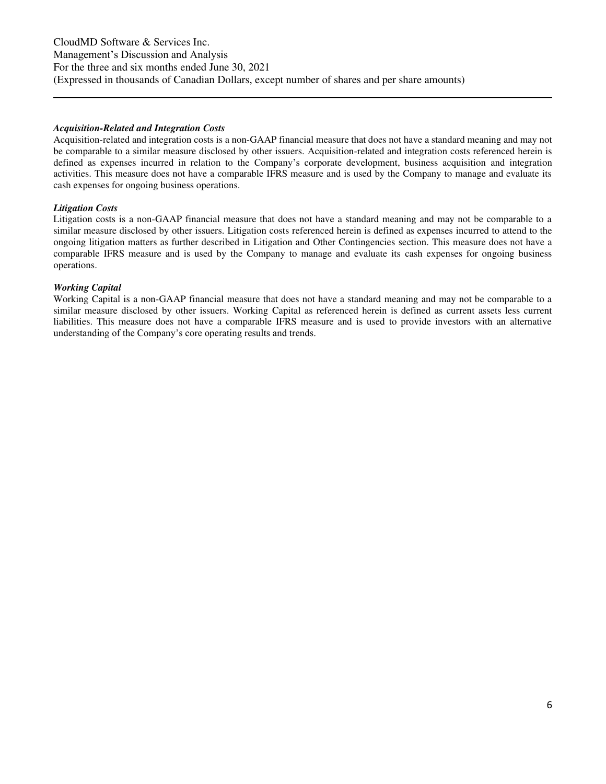#### *Acquisition-Related and Integration Costs*

Acquisition-related and integration costs is a non-GAAP financial measure that does not have a standard meaning and may not be comparable to a similar measure disclosed by other issuers. Acquisition-related and integration costs referenced herein is defined as expenses incurred in relation to the Company's corporate development, business acquisition and integration activities. This measure does not have a comparable IFRS measure and is used by the Company to manage and evaluate its cash expenses for ongoing business operations.

#### *Litigation Costs*

Litigation costs is a non-GAAP financial measure that does not have a standard meaning and may not be comparable to a similar measure disclosed by other issuers. Litigation costs referenced herein is defined as expenses incurred to attend to the ongoing litigation matters as further described in Litigation and Other Contingencies section. This measure does not have a comparable IFRS measure and is used by the Company to manage and evaluate its cash expenses for ongoing business operations.

#### *Working Capital*

Working Capital is a non-GAAP financial measure that does not have a standard meaning and may not be comparable to a similar measure disclosed by other issuers. Working Capital as referenced herein is defined as current assets less current liabilities. This measure does not have a comparable IFRS measure and is used to provide investors with an alternative understanding of the Company's core operating results and trends.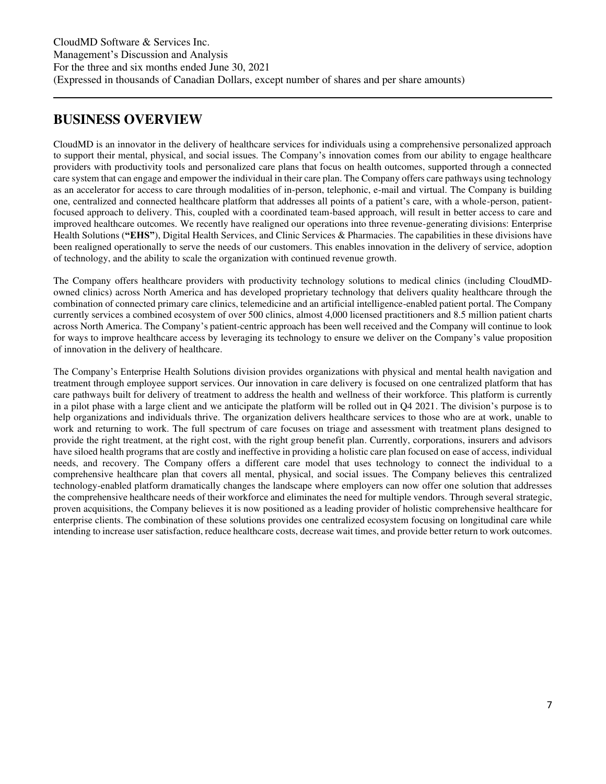### <span id="page-6-0"></span>**BUSINESS OVERVIEW**

CloudMD is an innovator in the delivery of healthcare services for individuals using a comprehensive personalized approach to support their mental, physical, and social issues. The Company's innovation comes from our ability to engage healthcare providers with productivity tools and personalized care plans that focus on health outcomes, supported through a connected care system that can engage and empower the individual in their care plan. The Company offers care pathways using technology as an accelerator for access to care through modalities of in-person, telephonic, e-mail and virtual. The Company is building one, centralized and connected healthcare platform that addresses all points of a patient's care, with a whole-person, patientfocused approach to delivery. This, coupled with a coordinated team-based approach, will result in better access to care and improved healthcare outcomes. We recently have realigned our operations into three revenue-generating divisions: Enterprise Health Solutions (**"EHS"**), Digital Health Services, and Clinic Services & Pharmacies. The capabilities in these divisions have been realigned operationally to serve the needs of our customers. This enables innovation in the delivery of service, adoption of technology, and the ability to scale the organization with continued revenue growth.

The Company offers healthcare providers with productivity technology solutions to medical clinics (including CloudMDowned clinics) across North America and has developed proprietary technology that delivers quality healthcare through the combination of connected primary care clinics, telemedicine and an artificial intelligence-enabled patient portal. The Company currently services a combined ecosystem of over 500 clinics, almost 4,000 licensed practitioners and 8.5 million patient charts across North America. The Company's patient-centric approach has been well received and the Company will continue to look for ways to improve healthcare access by leveraging its technology to ensure we deliver on the Company's value proposition of innovation in the delivery of healthcare.

The Company's Enterprise Health Solutions division provides organizations with physical and mental health navigation and treatment through employee support services. Our innovation in care delivery is focused on one centralized platform that has care pathways built for delivery of treatment to address the health and wellness of their workforce. This platform is currently in a pilot phase with a large client and we anticipate the platform will be rolled out in Q4 2021. The division's purpose is to help organizations and individuals thrive. The organization delivers healthcare services to those who are at work, unable to work and returning to work. The full spectrum of care focuses on triage and assessment with treatment plans designed to provide the right treatment, at the right cost, with the right group benefit plan. Currently, corporations, insurers and advisors have siloed health programs that are costly and ineffective in providing a holistic care plan focused on ease of access, individual needs, and recovery. The Company offers a different care model that uses technology to connect the individual to a comprehensive healthcare plan that covers all mental, physical, and social issues. The Company believes this centralized technology-enabled platform dramatically changes the landscape where employers can now offer one solution that addresses the comprehensive healthcare needs of their workforce and eliminates the need for multiple vendors. Through several strategic, proven acquisitions, the Company believes it is now positioned as a leading provider of holistic comprehensive healthcare for enterprise clients. The combination of these solutions provides one centralized ecosystem focusing on longitudinal care while intending to increase user satisfaction, reduce healthcare costs, decrease wait times, and provide better return to work outcomes.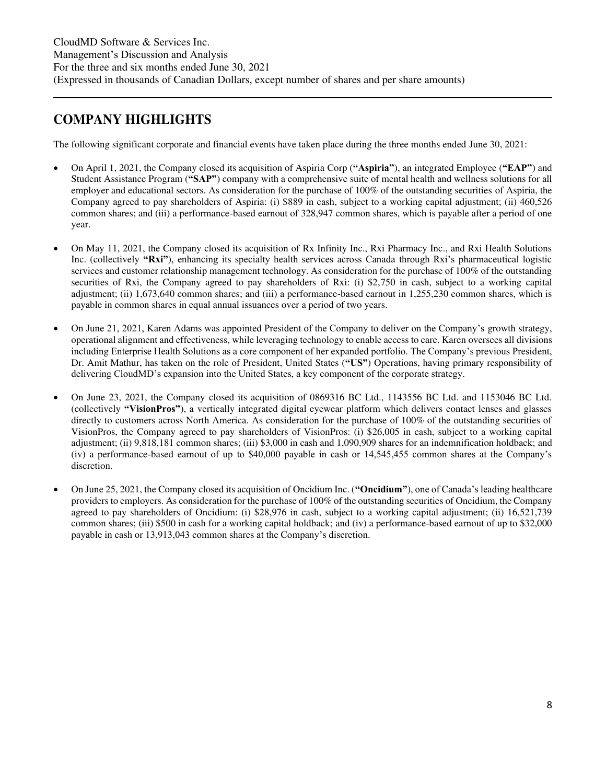### <span id="page-7-0"></span>**COMPANY HIGHLIGHTS**

The following significant corporate and financial events have taken place during the three months ended June 30, 2021:

- On April 1, 2021, the Company closed its acquisition of Aspiria Corp (**"Aspiria"**), an integrated Employee (**"EAP"**) and Student Assistance Program (**"SAP"**) company with a comprehensive suite of mental health and wellness solutions for all employer and educational sectors. As consideration for the purchase of 100% of the outstanding securities of Aspiria, the Company agreed to pay shareholders of Aspiria: (i) \$889 in cash, subject to a working capital adjustment; (ii) 460,526 common shares; and (iii) a performance-based earnout of 328,947 common shares, which is payable after a period of one year.
- On May 11, 2021, the Company closed its acquisition of Rx Infinity Inc., Rxi Pharmacy Inc., and Rxi Health Solutions Inc. (collectively **"Rxi"**), enhancing its specialty health services across Canada through Rxi's pharmaceutical logistic services and customer relationship management technology. As consideration for the purchase of 100% of the outstanding securities of Rxi, the Company agreed to pay shareholders of Rxi: (i) \$2,750 in cash, subject to a working capital adjustment; (ii) 1,673,640 common shares; and (iii) a performance-based earnout in 1,255,230 common shares, which is payable in common shares in equal annual issuances over a period of two years.
- On June 21, 2021, Karen Adams was appointed President of the Company to deliver on the Company's growth strategy, operational alignment and effectiveness, while leveraging technology to enable access to care. Karen oversees all divisions including Enterprise Health Solutions as a core component of her expanded portfolio. The Company's previous President, Dr. Amit Mathur, has taken on the role of President, United States (**"US"**) Operations, having primary responsibility of delivering CloudMD's expansion into the United States, a key component of the corporate strategy.
- On June 23, 2021, the Company closed its acquisition of 0869316 BC Ltd., 1143556 BC Ltd. and 1153046 BC Ltd. (collectively **"VisionPros"**), a vertically integrated digital eyewear platform which delivers contact lenses and glasses directly to customers across North America. As consideration for the purchase of 100% of the outstanding securities of VisionPros, the Company agreed to pay shareholders of VisionPros: (i) \$26,005 in cash, subject to a working capital adjustment; (ii) 9,818,181 common shares; (iii) \$3,000 in cash and 1,090,909 shares for an indemnification holdback; and (iv) a performance-based earnout of up to \$40,000 payable in cash or 14,545,455 common shares at the Company's discretion.
- On June 25, 2021, the Company closed its acquisition of Oncidium Inc. (**"Oncidium"**), one of Canada's leading healthcare providers to employers. As consideration for the purchase of 100% of the outstanding securities of Oncidium, the Company agreed to pay shareholders of Oncidium: (i) \$28,976 in cash, subject to a working capital adjustment; (ii) 16,521,739 common shares; (iii) \$500 in cash for a working capital holdback; and (iv) a performance-based earnout of up to \$32,000 payable in cash or 13,913,043 common shares at the Company's discretion.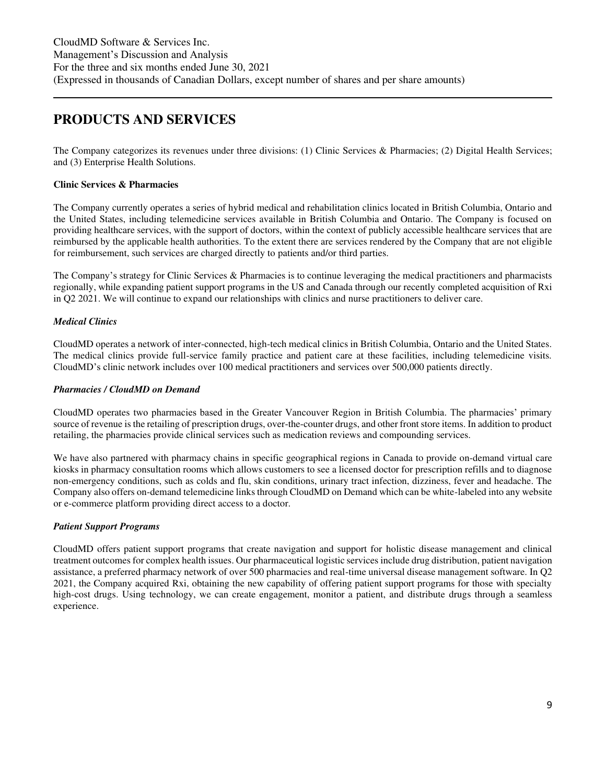### <span id="page-8-0"></span>**PRODUCTS AND SERVICES**

The Company categorizes its revenues under three divisions: (1) Clinic Services & Pharmacies; (2) Digital Health Services; and (3) Enterprise Health Solutions.

#### **Clinic Services & Pharmacies**

The Company currently operates a series of hybrid medical and rehabilitation clinics located in British Columbia, Ontario and the United States, including telemedicine services available in British Columbia and Ontario. The Company is focused on providing healthcare services, with the support of doctors, within the context of publicly accessible healthcare services that are reimbursed by the applicable health authorities. To the extent there are services rendered by the Company that are not eligible for reimbursement, such services are charged directly to patients and/or third parties.

The Company's strategy for Clinic Services & Pharmacies is to continue leveraging the medical practitioners and pharmacists regionally, while expanding patient support programs in the US and Canada through our recently completed acquisition of Rxi in Q2 2021. We will continue to expand our relationships with clinics and nurse practitioners to deliver care.

#### *Medical Clinics*

CloudMD operates a network of inter-connected, high-tech medical clinics in British Columbia, Ontario and the United States. The medical clinics provide full-service family practice and patient care at these facilities, including telemedicine visits. CloudMD's clinic network includes over 100 medical practitioners and services over 500,000 patients directly.

#### *Pharmacies / CloudMD on Demand*

CloudMD operates two pharmacies based in the Greater Vancouver Region in British Columbia. The pharmacies' primary source of revenue is the retailing of prescription drugs, over-the-counter drugs, and other front store items. In addition to product retailing, the pharmacies provide clinical services such as medication reviews and compounding services.

We have also partnered with pharmacy chains in specific geographical regions in Canada to provide on-demand virtual care kiosks in pharmacy consultation rooms which allows customers to see a licensed doctor for prescription refills and to diagnose non-emergency conditions, such as colds and flu, skin conditions, urinary tract infection, dizziness, fever and headache. The Company also offers on-demand telemedicine links through CloudMD on Demand which can be white-labeled into any website or e-commerce platform providing direct access to a doctor.

#### *Patient Support Programs*

CloudMD offers patient support programs that create navigation and support for holistic disease management and clinical treatment outcomes for complex health issues. Our pharmaceutical logistic services include drug distribution, patient navigation assistance, a preferred pharmacy network of over 500 pharmacies and real-time universal disease management software. In Q2 2021, the Company acquired Rxi, obtaining the new capability of offering patient support programs for those with specialty high-cost drugs. Using technology, we can create engagement, monitor a patient, and distribute drugs through a seamless experience.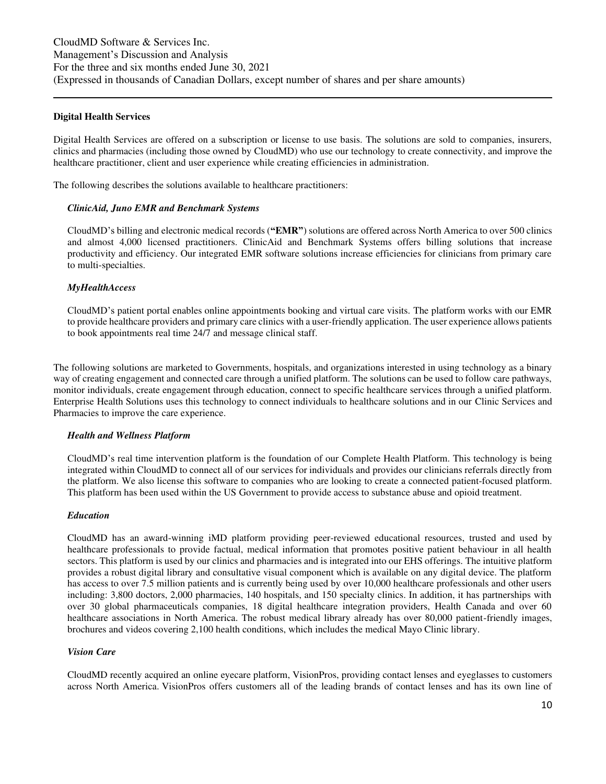#### **Digital Health Services**

Digital Health Services are offered on a subscription or license to use basis. The solutions are sold to companies, insurers, clinics and pharmacies (including those owned by CloudMD) who use our technology to create connectivity, and improve the healthcare practitioner, client and user experience while creating efficiencies in administration.

The following describes the solutions available to healthcare practitioners:

#### *ClinicAid, Juno EMR and Benchmark Systems*

CloudMD's billing and electronic medical records (**"EMR"**) solutions are offered across North America to over 500 clinics and almost 4,000 licensed practitioners. ClinicAid and Benchmark Systems offers billing solutions that increase productivity and efficiency. Our integrated EMR software solutions increase efficiencies for clinicians from primary care to multi-specialties.

#### *MyHealthAccess*

CloudMD's patient portal enables online appointments booking and virtual care visits. The platform works with our EMR to provide healthcare providers and primary care clinics with a user-friendly application. The user experience allows patients to book appointments real time 24/7 and message clinical staff.

The following solutions are marketed to Governments, hospitals, and organizations interested in using technology as a binary way of creating engagement and connected care through a unified platform. The solutions can be used to follow care pathways, monitor individuals, create engagement through education, connect to specific healthcare services through a unified platform. Enterprise Health Solutions uses this technology to connect individuals to healthcare solutions and in our Clinic Services and Pharmacies to improve the care experience.

#### *Health and Wellness Platform*

CloudMD's real time intervention platform is the foundation of our Complete Health Platform. This technology is being integrated within CloudMD to connect all of our services for individuals and provides our clinicians referrals directly from the platform. We also license this software to companies who are looking to create a connected patient-focused platform. This platform has been used within the US Government to provide access to substance abuse and opioid treatment.

#### *Education*

CloudMD has an award-winning iMD platform providing peer-reviewed educational resources, trusted and used by healthcare professionals to provide factual, medical information that promotes positive patient behaviour in all health sectors. This platform is used by our clinics and pharmacies and is integrated into our EHS offerings. The intuitive platform provides a robust digital library and consultative visual component which is available on any digital device. The platform has access to over 7.5 million patients and is currently being used by over 10,000 healthcare professionals and other users including: 3,800 doctors, 2,000 pharmacies, 140 hospitals, and 150 specialty clinics. In addition, it has partnerships with over 30 global pharmaceuticals companies, 18 digital healthcare integration providers, Health Canada and over 60 healthcare associations in North America. The robust medical library already has over 80,000 patient-friendly images, brochures and videos covering 2,100 health conditions, which includes the medical Mayo Clinic library.

#### *Vision Care*

CloudMD recently acquired an online eyecare platform, VisionPros, providing contact lenses and eyeglasses to customers across North America. VisionPros offers customers all of the leading brands of contact lenses and has its own line of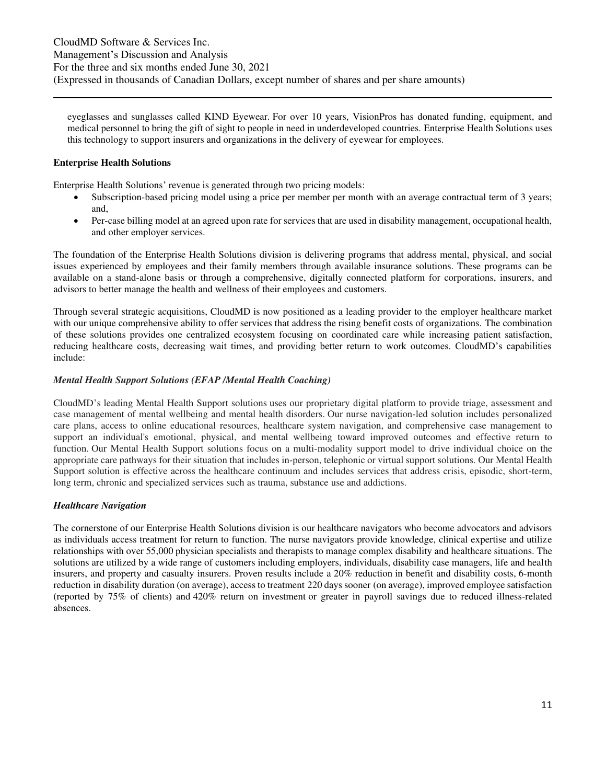eyeglasses and sunglasses called KIND Eyewear. For over 10 years, VisionPros has donated funding, equipment, and medical personnel to bring the gift of sight to people in need in underdeveloped countries. Enterprise Health Solutions uses this technology to support insurers and organizations in the delivery of eyewear for employees.

#### **Enterprise Health Solutions**

Enterprise Health Solutions' revenue is generated through two pricing models:

- Subscription-based pricing model using a price per member per month with an average contractual term of 3 years; and,
- Per-case billing model at an agreed upon rate for services that are used in disability management, occupational health, and other employer services.

The foundation of the Enterprise Health Solutions division is delivering programs that address mental, physical, and social issues experienced by employees and their family members through available insurance solutions. These programs can be available on a stand-alone basis or through a comprehensive, digitally connected platform for corporations, insurers, and advisors to better manage the health and wellness of their employees and customers.

Through several strategic acquisitions, CloudMD is now positioned as a leading provider to the employer healthcare market with our unique comprehensive ability to offer services that address the rising benefit costs of organizations. The combination of these solutions provides one centralized ecosystem focusing on coordinated care while increasing patient satisfaction, reducing healthcare costs, decreasing wait times, and providing better return to work outcomes. CloudMD's capabilities include:

#### *Mental Health Support Solutions (EFAP /Mental Health Coaching)*

CloudMD's leading Mental Health Support solutions uses our proprietary digital platform to provide triage, assessment and case management of mental wellbeing and mental health disorders. Our nurse navigation-led solution includes personalized care plans, access to online educational resources, healthcare system navigation, and comprehensive case management to support an individual's emotional, physical, and mental wellbeing toward improved outcomes and effective return to function. Our Mental Health Support solutions focus on a multi-modality support model to drive individual choice on the appropriate care pathways for their situation that includes in-person, telephonic or virtual support solutions. Our Mental Health Support solution is effective across the healthcare continuum and includes services that address crisis, episodic, short-term, long term, chronic and specialized services such as trauma, substance use and addictions.

#### *Healthcare Navigation*

The cornerstone of our Enterprise Health Solutions division is our healthcare navigators who become advocators and advisors as individuals access treatment for return to function. The nurse navigators provide knowledge, clinical expertise and utilize relationships with over 55,000 physician specialists and therapists to manage complex disability and healthcare situations. The solutions are utilized by a wide range of customers including employers, individuals, disability case managers, life and health insurers, and property and casualty insurers. Proven results include a 20% reduction in benefit and disability costs, 6-month reduction in disability duration (on average), access to treatment 220 days sooner (on average), improved employee satisfaction (reported by 75% of clients) and 420% return on investment or greater in payroll savings due to reduced illness-related absences.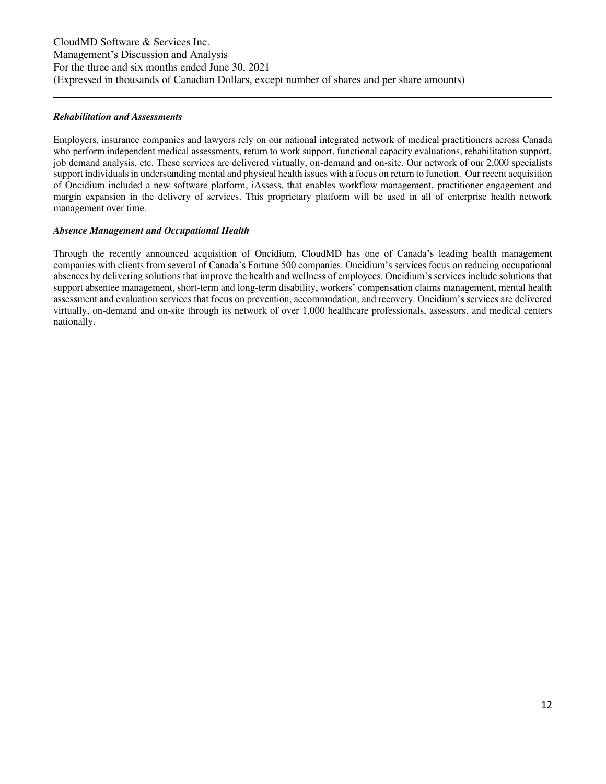#### *Rehabilitation and Assessments*

Employers, insurance companies and lawyers rely on our national integrated network of medical practitioners across Canada who perform independent medical assessments, return to work support, functional capacity evaluations, rehabilitation support, job demand analysis, etc. These services are delivered virtually, on-demand and on-site. Our network of our 2,000 specialists support individuals in understanding mental and physical health issues with a focus on return to function. Our recent acquisition of Oncidium included a new software platform, iAssess, that enables workflow management, practitioner engagement and margin expansion in the delivery of services. This proprietary platform will be used in all of enterprise health network management over time.

#### *Absence Management and Occupational Health*

Through the recently announced acquisition of Oncidium, CloudMD has one of Canada's leading health management companies with clients from several of Canada's Fortune 500 companies. Oncidium's services focus on reducing occupational absences by delivering solutions that improve the health and wellness of employees. Oncidium's services include solutions that support absentee management, short-term and long-term disability, workers' compensation claims management, mental health assessment and evaluation services that focus on prevention, accommodation, and recovery. Oncidium's services are delivered virtually, on-demand and on-site through its network of over 1,000 healthcare professionals, assessors. and medical centers nationally.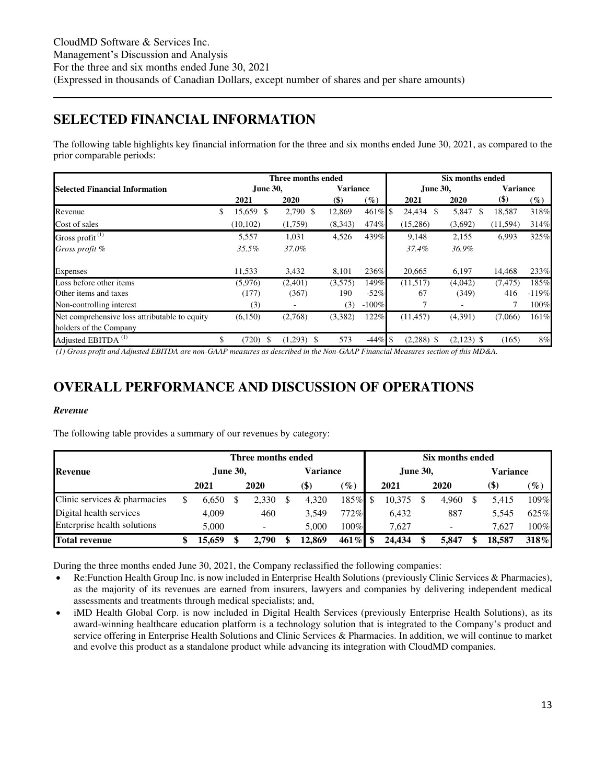### <span id="page-12-0"></span>**SELECTED FINANCIAL INFORMATION**

The following table highlights key financial information for the three and six months ended June 30, 2021, as compared to the prior comparable periods:

|                                               |                 | Three months ended |                 |         | Six months ended |              |              |                 |                   |  |  |
|-----------------------------------------------|-----------------|--------------------|-----------------|---------|------------------|--------------|--------------|-----------------|-------------------|--|--|
| <b>Selected Financial Information</b>         | <b>June 30.</b> |                    | <b>Variance</b> |         |                  | June 30,     |              | <b>Variance</b> |                   |  |  |
|                                               | 2021            | 2020               | $(\$)$          | $(\%)$  |                  | 2021         | 2020         | $($)$           | $\left(\%\right)$ |  |  |
| Revenue                                       | \$<br>15,659 \$ | 2,790 \$           | 12,869          | 461%    | \$               | 24,434<br>\$ | 5,847<br>\$. | 18,587          | 318%              |  |  |
| Cost of sales                                 | (10, 102)       | (1,759)            | (8,343)         | 474%    |                  | (15,286)     | (3,692)      | (11, 594)       | 314%              |  |  |
| Gross profit <sup>(1)</sup>                   | 5,557           | 1,031              | 4,526           | 439%    |                  | 9,148        | 2,155        | 6,993           | 325%              |  |  |
| Gross profit %                                | 35.5%           | 37.0%              |                 |         |                  | 37.4%        | 36.9%        |                 |                   |  |  |
| Expenses                                      | 11,533          | 3,432              | 8,101           | 236\%   |                  | 20,665       | 6,197        | 14,468          | 233%              |  |  |
| Loss before other items                       | (5,976)         | (2,401)            | (3,575)         | 149%    |                  | (11,517)     | (4,042)      | (7, 475)        | 185%              |  |  |
| Other items and taxes                         | (177)           | (367)              | 190             | $-52%$  |                  | 67           | (349)        | 416             | $-119%$           |  |  |
| Non-controlling interest                      | (3)             | ٠                  | (3)             | $-100%$ |                  |              |              |                 | 100%              |  |  |
| Net comprehensive loss attributable to equity | (6,150)         | (2,768)            | (3,382)         | 122%    |                  | (11, 457)    | (4,391)      | (7,066)         | 161%              |  |  |
| holders of the Company                        |                 |                    |                 |         |                  |              |              |                 |                   |  |  |
| Adjusted EBITDA <sup>(1)</sup>                | (720)<br>-S     | $(1,293)$ \$       | 573             | $-44%$  | <b>S</b>         | $(2,288)$ \$ | $(2,123)$ \$ | (165)           | 8%                |  |  |

*(1) Gross profit and Adjusted EBITDA are non-GAAP measures as described in the Non-GAAP Financial Measures section of this MD&A.* 

### <span id="page-12-1"></span>**OVERALL PERFORMANCE AND DISCUSSION OF OPERATIONS**

#### *Revenue*

The following table provides a summary of our revenues by category:

|                              |                 | Three months ended |                           | Six months ended |  |                 |  |       |                 |        |                 |
|------------------------------|-----------------|--------------------|---------------------------|------------------|--|-----------------|--|-------|-----------------|--------|-----------------|
| <b>Revenue</b>               | <b>June 30,</b> |                    | <b>Variance</b>           |                  |  | <b>June 30,</b> |  |       | <b>Variance</b> |        |                 |
|                              | 2021            | 2020               | $\left( \text{\$}\right)$ | $\mathscr{G}_o$  |  | 2021            |  | 2020  |                 | $(\$)$ | $\mathscr{G}_o$ |
| Clinic services & pharmacies | 6.650           | 2,330              | 4,320                     | 185%             |  | 10,375          |  | 4,960 |                 | 5.415  | 109%            |
| Digital health services      | 4.009           | 460                | 3.549                     | 772%             |  | 6.432           |  | 887   |                 | 5.545  | 625%            |
| Enterprise health solutions  | 5.000           |                    | 5.000                     | 100%             |  | 7.627           |  |       |                 | 7.627  | $100\%$         |
| <b>Total revenue</b>         | 15.659          | 2.790              | 12.869                    | $461\%$          |  | 24.434          |  | 5.847 |                 | 18.587 | 318%            |

During the three months ended June 30, 2021, the Company reclassified the following companies:

- Re:Function Health Group Inc. is now included in Enterprise Health Solutions (previously Clinic Services & Pharmacies), as the majority of its revenues are earned from insurers, lawyers and companies by delivering independent medical assessments and treatments through medical specialists; and,
- iMD Health Global Corp. is now included in Digital Health Services (previously Enterprise Health Solutions), as its award-winning healthcare education platform is a technology solution that is integrated to the Company's product and service offering in Enterprise Health Solutions and Clinic Services & Pharmacies. In addition, we will continue to market and evolve this product as a standalone product while advancing its integration with CloudMD companies.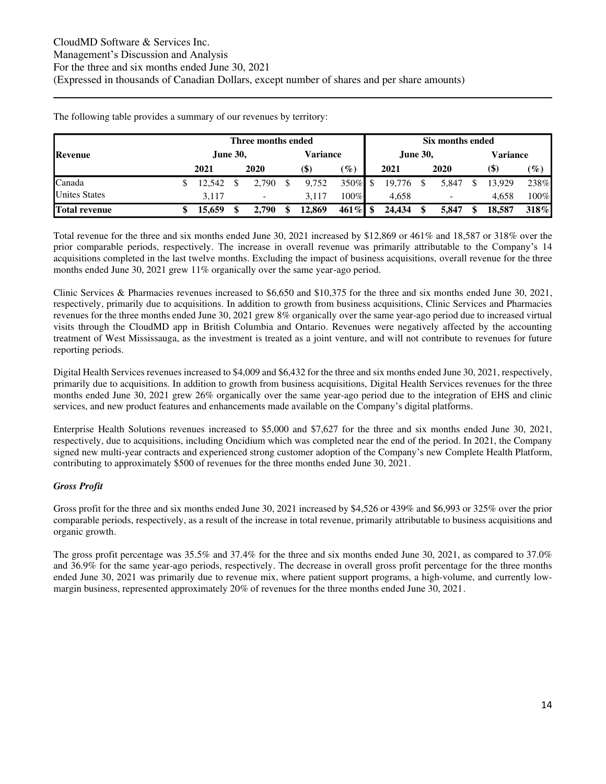|                      | Three months ended |  |                          |  |          |                 |  |                 | Six months ended |       |          |                            |                 |  |  |  |
|----------------------|--------------------|--|--------------------------|--|----------|-----------------|--|-----------------|------------------|-------|----------|----------------------------|-----------------|--|--|--|
| <b>Revenue</b>       | <b>June 30,</b>    |  |                          |  | Variance |                 |  | <b>June 30,</b> |                  |       | Variance |                            |                 |  |  |  |
|                      | 2021               |  | 2020                     |  | (\$)     | $\mathscr{G}_o$ |  | 2021            |                  | 2020  |          | $\left( \mathbb{S}\right)$ | $\mathscr{G}_o$ |  |  |  |
| Canada               | 12.542             |  | 2,790                    |  | 9,752    | $350\%$ \$      |  | 19,776          |                  | 5,847 |          | 13.929                     | 238%            |  |  |  |
| <b>Unites States</b> | 3.117              |  | $\overline{\phantom{a}}$ |  | 3.117    | $100\%$         |  | 4,658           |                  | -     |          | 4.658                      | $100\%$         |  |  |  |
| <b>Total revenue</b> | 15,659             |  | 2,790                    |  | 12,869   | $461\%$ \$      |  | 24,434          |                  | 5,847 |          | 18,587                     | 318%            |  |  |  |

The following table provides a summary of our revenues by territory:

Total revenue for the three and six months ended June 30, 2021 increased by \$12,869 or 461% and 18,587 or 318% over the prior comparable periods, respectively. The increase in overall revenue was primarily attributable to the Company's 14 acquisitions completed in the last twelve months. Excluding the impact of business acquisitions, overall revenue for the three months ended June 30, 2021 grew 11% organically over the same year-ago period.

Clinic Services & Pharmacies revenues increased to \$6,650 and \$10,375 for the three and six months ended June 30, 2021, respectively, primarily due to acquisitions. In addition to growth from business acquisitions, Clinic Services and Pharmacies revenues for the three months ended June 30, 2021 grew 8% organically over the same year-ago period due to increased virtual visits through the CloudMD app in British Columbia and Ontario. Revenues were negatively affected by the accounting treatment of West Mississauga, as the investment is treated as a joint venture, and will not contribute to revenues for future reporting periods.

Digital Health Services revenues increased to \$4,009 and \$6,432 for the three and six months ended June 30, 2021, respectively, primarily due to acquisitions. In addition to growth from business acquisitions, Digital Health Services revenues for the three months ended June 30, 2021 grew 26% organically over the same year-ago period due to the integration of EHS and clinic services, and new product features and enhancements made available on the Company's digital platforms.

Enterprise Health Solutions revenues increased to \$5,000 and \$7,627 for the three and six months ended June 30, 2021, respectively, due to acquisitions, including Oncidium which was completed near the end of the period. In 2021, the Company signed new multi-year contracts and experienced strong customer adoption of the Company's new Complete Health Platform, contributing to approximately \$500 of revenues for the three months ended June 30, 2021.

### *Gross Profit*

Gross profit for the three and six months ended June 30, 2021 increased by \$4,526 or 439% and \$6,993 or 325% over the prior comparable periods, respectively, as a result of the increase in total revenue, primarily attributable to business acquisitions and organic growth.

The gross profit percentage was 35.5% and 37.4% for the three and six months ended June 30, 2021, as compared to 37.0% and 36.9% for the same year-ago periods, respectively. The decrease in overall gross profit percentage for the three months ended June 30, 2021 was primarily due to revenue mix, where patient support programs, a high-volume, and currently lowmargin business, represented approximately 20% of revenues for the three months ended June 30, 2021.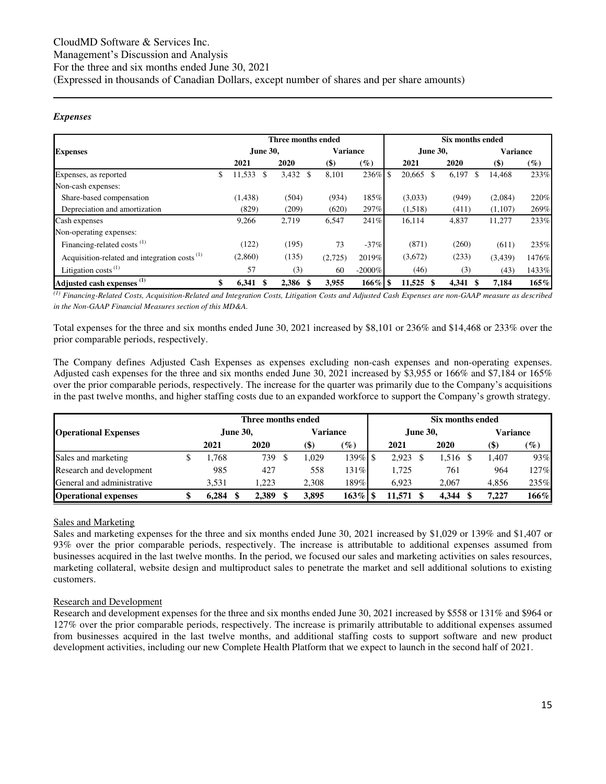#### *Expenses*

|                                                          |     |               | Three months ended |                 |           | Six months ended |             |              |                 |        |  |  |
|----------------------------------------------------------|-----|---------------|--------------------|-----------------|-----------|------------------|-------------|--------------|-----------------|--------|--|--|
| <b>Expenses</b>                                          |     | June 30,      |                    | <b>Variance</b> |           |                  | June 30,    |              | <b>Variance</b> |        |  |  |
|                                                          |     | 2021          | 2020               | $($ \$          | $(\%)$    |                  | 2021        | 2020         | $($ \$)         | $(\%)$ |  |  |
| Expenses, as reported                                    | \$. | 11,533<br>\$. | 3,432<br>\$        | 8,101           | 236%      | <sup>\$</sup>    | 20,665 \$   | 6,197<br>\$. | 14,468          | 233%   |  |  |
| Non-cash expenses:                                       |     |               |                    |                 |           |                  |             |              |                 |        |  |  |
| Share-based compensation                                 |     | (1, 438)      | (504)              | (934)           | 185%      |                  | (3,033)     | (949)        | (2,084)         | 220%   |  |  |
| Depreciation and amortization                            |     | (829)         | (209)              | (620)           | 297%      |                  | (1,518)     | (411)        | (1, 107)        | 269%   |  |  |
| Cash expenses                                            |     | 9,266         | 2,719              | 6,547           | 241%      |                  | 16,114      | 4,837        | 11,277          | 233%   |  |  |
| Non-operating expenses:                                  |     |               |                    |                 |           |                  |             |              |                 |        |  |  |
| Financing-related costs <sup>(1)</sup>                   |     | (122)         | (195)              | 73              | $-37%$    |                  | (871)       | (260)        | (611)           | 235%   |  |  |
| Acquisition-related and integration costs <sup>(1)</sup> |     | (2,860)       | (135)              | (2,725)         | 2019%     |                  | (3,672)     | (233)        | (3, 439)        | 1476%  |  |  |
| Litigation costs $^{(1)}$                                |     | 57            | (3)                | 60              | $-2000\%$ |                  | (46)        | (3)          | (43)            | 1433%  |  |  |
| Adjusted cash expenses <sup>(1)</sup>                    |     | 6,341         | 2,386              | 3,955           | 166%      |                  | $11,525$ \$ | 4,341        | 7,184           | 165%   |  |  |

*(1) Financing-Related Costs, Acquisition-Related and Integration Costs, Litigation Costs and Adjusted Cash Expenses are non-GAAP measure as described in the Non-GAAP Financial Measures section of this MD&A.* 

Total expenses for the three and six months ended June 30, 2021 increased by \$8,101 or 236% and \$14,468 or 233% over the prior comparable periods, respectively.

The Company defines Adjusted Cash Expenses as expenses excluding non-cash expenses and non-operating expenses. Adjusted cash expenses for the three and six months ended June 30, 2021 increased by \$3,955 or 166% and \$7,184 or 165% over the prior comparable periods, respectively. The increase for the quarter was primarily due to the Company's acquisitions in the past twelve months, and higher staffing costs due to an expanded workforce to support the Company's growth strategy.

|                             |                 | Three months ended |       |                 | Six months ended |        |  |                 |  |                           |        |  |
|-----------------------------|-----------------|--------------------|-------|-----------------|------------------|--------|--|-----------------|--|---------------------------|--------|--|
| <b>Operational Expenses</b> | <b>June 30,</b> | Variance           |       |                 | <b>June 30.</b>  |        |  | <b>Variance</b> |  |                           |        |  |
|                             | 2021            | 2020               | (\$)  | $\mathscr{G}_o$ |                  | 2021   |  | 2020            |  | $\left( \text{\$}\right)$ | $(\%)$ |  |
| Sales and marketing         | .768            | 739                | 1.029 | $139\%$ \$      |                  | 2.923  |  | 1.516           |  | 1.407                     | 93%    |  |
| Research and development    | 985             | 427                | 558   | 131%            |                  | 1.725  |  | 761             |  | 964                       | 127%   |  |
| General and administrative  | 3.531           | 1.223              | 2.308 | 189%            |                  | 6.923  |  | 2.067           |  | 4.856                     | 235%   |  |
| <b>Operational expenses</b> | 6.284           | 2.389              | 3.895 |                 |                  | 11.571 |  | 4.344           |  | 7.227                     | 166%   |  |

#### Sales and Marketing

Sales and marketing expenses for the three and six months ended June 30, 2021 increased by \$1,029 or 139% and \$1,407 or 93% over the prior comparable periods, respectively. The increase is attributable to additional expenses assumed from businesses acquired in the last twelve months. In the period, we focused our sales and marketing activities on sales resources, marketing collateral, website design and multiproduct sales to penetrate the market and sell additional solutions to existing customers.

#### Research and Development

Research and development expenses for the three and six months ended June 30, 2021 increased by \$558 or 131% and \$964 or 127% over the prior comparable periods, respectively. The increase is primarily attributable to additional expenses assumed from businesses acquired in the last twelve months, and additional staffing costs to support software and new product development activities, including our new Complete Health Platform that we expect to launch in the second half of 2021.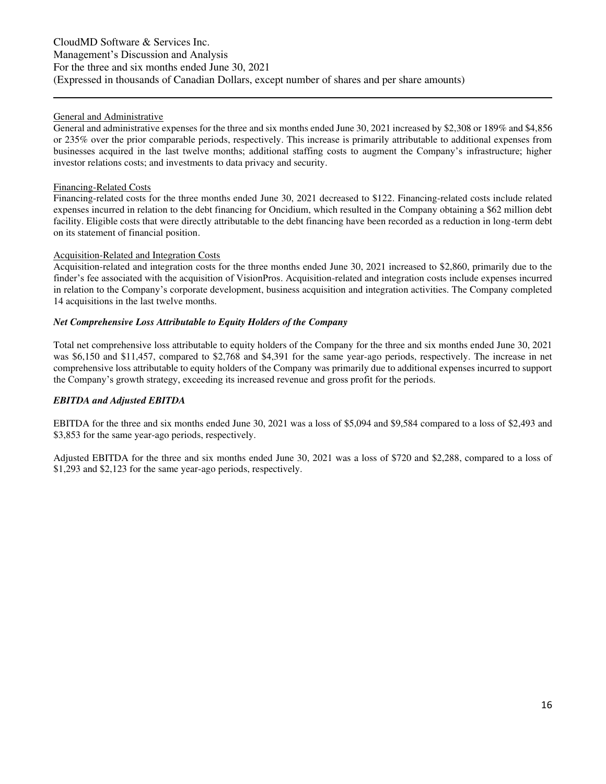#### General and Administrative

General and administrative expenses for the three and six months ended June 30, 2021 increased by \$2,308 or 189% and \$4,856 or 235% over the prior comparable periods, respectively. This increase is primarily attributable to additional expenses from businesses acquired in the last twelve months; additional staffing costs to augment the Company's infrastructure; higher investor relations costs; and investments to data privacy and security.

#### Financing-Related Costs

Financing-related costs for the three months ended June 30, 2021 decreased to \$122. Financing-related costs include related expenses incurred in relation to the debt financing for Oncidium, which resulted in the Company obtaining a \$62 million debt facility. Eligible costs that were directly attributable to the debt financing have been recorded as a reduction in long-term debt on its statement of financial position.

#### Acquisition-Related and Integration Costs

Acquisition-related and integration costs for the three months ended June 30, 2021 increased to \$2,860, primarily due to the finder's fee associated with the acquisition of VisionPros. Acquisition-related and integration costs include expenses incurred in relation to the Company's corporate development, business acquisition and integration activities. The Company completed 14 acquisitions in the last twelve months.

#### *Net Comprehensive Loss Attributable to Equity Holders of the Company*

Total net comprehensive loss attributable to equity holders of the Company for the three and six months ended June 30, 2021 was \$6,150 and \$11,457, compared to \$2,768 and \$4,391 for the same year-ago periods, respectively. The increase in net comprehensive loss attributable to equity holders of the Company was primarily due to additional expenses incurred to support the Company's growth strategy, exceeding its increased revenue and gross profit for the periods.

#### *EBITDA and Adjusted EBITDA*

EBITDA for the three and six months ended June 30, 2021 was a loss of \$5,094 and \$9,584 compared to a loss of \$2,493 and \$3,853 for the same year-ago periods, respectively.

Adjusted EBITDA for the three and six months ended June 30, 2021 was a loss of \$720 and \$2,288, compared to a loss of \$1,293 and \$2,123 for the same year-ago periods, respectively.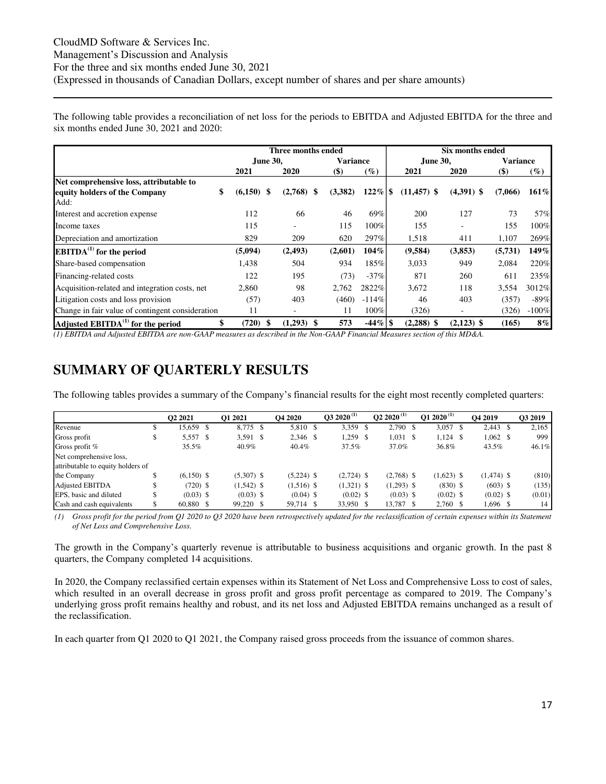The following table provides a reconciliation of net loss for the periods to EBITDA and Adjusted EBITDA for the three and six months ended June 30, 2021 and 2020:

|                                                  |         | Three months ended       |                 |            |               | Six months ended |                 |         |
|--------------------------------------------------|---------|--------------------------|-----------------|------------|---------------|------------------|-----------------|---------|
|                                                  |         | <b>June 30.</b>          | <b>Variance</b> |            | June 30,      |                  | <b>Variance</b> |         |
|                                                  | 2021    | 2020                     | $($ \$)         | $(\%)$     | 2021          | 2020             | $(\$)$          | $(\%)$  |
| Net comprehensive loss, attributable to          |         |                          |                 |            |               |                  |                 |         |
| \$<br>equity holders of the Company              | (6,150) | -S<br>$(2,768)$ \$       | (3,382)         |            | $(11,457)$ \$ | $(4,391)$ \$     | (7,066)         | 161%    |
| Add:                                             |         |                          |                 |            |               |                  |                 |         |
| Interest and accretion expense                   | 112     | 66                       | 46              | 69%        | 200           | 127              | 73              | 57%     |
| Income taxes                                     | 115     | $\overline{\phantom{0}}$ | 115             | 100%       | 155           |                  | 155             | 100%    |
| Depreciation and amortization                    | 829     | 209                      | 620             | 297%       | 1,518         | 411              | 1,107           | 269%    |
| $EBITDA(1)$ for the period                       | (5,094) | (2, 493)                 | (2,601)         | 104%       | (9,584)       | (3,853)          | (5,731)         | 149%    |
| Share-based compensation                         | 1,438   | 504                      | 934             | 185%       | 3,033         | 949              | 2,084           | 220%    |
| Financing-related costs                          | 122     | 195                      | (73)            | $-37%$     | 871           | 260              | 611             | 235%    |
| Acquisition-related and integration costs, net   | 2,860   | 98                       | 2,762           | 2822%      | 3,672         | 118              | 3,554           | 3012%   |
| Litigation costs and loss provision              | (57)    | 403                      | (460)           | $-114%$    | 46            | 403              | (357)           | $-89%$  |
| Change in fair value of contingent consideration | 11      |                          | 11              | 100%       | (326)         |                  | (326)           | $-100%$ |
| Adjusted $EBITDA(1)$ for the period              | (720)   | (1,293)<br>-8            | 573             | $-44\%$ \$ | $(2,288)$ \$  | $(2,123)$ \$     | (165)           | $8\%$   |

*(1) EBITDA and Adjusted EBITDA are non-GAAP measures as described in the Non-GAAP Financial Measures section of this MD&A.*

### <span id="page-16-0"></span>**SUMMARY OF QUARTERLY RESULTS**

The following tables provides a summary of the Company's financial results for the eight most recently completed quarters:

|                                   |   | O <sub>2</sub> 2021 |    | <b>O1 2021</b> | <b>O4 2020</b> | $032020^{(1)}$ | $\bf{02}$ 2020 <sup>(1)</sup> | O1 2020 <sup>(1)</sup> |     | O <sub>4</sub> 2019 | O3 2019 |
|-----------------------------------|---|---------------------|----|----------------|----------------|----------------|-------------------------------|------------------------|-----|---------------------|---------|
| Revenue                           | Ф | 15,659              | -8 | 8,775 \$       | 5,810 \$       | 3,359 \$       | 2,790 \$                      | 3,057                  | -S  | $2,443$ \$          | 2,165   |
| Gross profit                      |   | 5,557 \$            |    | $3,591$ \$     | 2,346 \$       | 1,259 \$       | 1,031 \$                      | 1,124                  | -\$ | $1,062 \quad$ \$    | 999     |
| Gross profit $%$                  |   | 35.5%               |    | 40.9%          | 40.4%          | 37.5%          | 37.0%                         | 36.8%                  |     | 43.5%               | 46.1%   |
| Net comprehensive loss,           |   |                     |    |                |                |                |                               |                        |     |                     |         |
| attributable to equity holders of |   |                     |    |                |                |                |                               |                        |     |                     |         |
| the Company                       |   | $(6,150)$ \$        |    | $(5,307)$ \$   | $(5,224)$ \$   | $(2,724)$ \$   | $(2,768)$ \$                  | $(1,623)$ \$           |     | $(1,474)$ \$        | (810)   |
| <b>Adjusted EBITDA</b>            |   | $(720)$ \$          |    | $(1,542)$ \$   | $(1,516)$ \$   | $(1,321)$ \$   | $(1,293)$ \$                  | $(830)$ \$             |     | $(603)$ \$          | (135)   |
| EPS, basic and diluted            |   | $(0.03)$ \$         |    | $(0.03)$ \$    | $(0.04)$ \$    | $(0.02)$ \$    | $(0.03)$ \$                   | $(0.02)$ \$            |     | $(0.02)$ \$         | (0.01)  |
| Cash and cash equivalents         |   | 60.880 \$           |    | 99,220 \$      | 59,714 \$      | 33,950 \$      | 13,787 \$                     | 2,760 \$               |     | 1,696 \$            | 14      |

*(1) Gross profit for the period from Q1 2020 to Q3 2020 have been retrospectively updated for the reclassification of certain expenses within its Statement of Net Loss and Comprehensive Loss.* 

The growth in the Company's quarterly revenue is attributable to business acquisitions and organic growth. In the past 8 quarters, the Company completed 14 acquisitions.

In 2020, the Company reclassified certain expenses within its Statement of Net Loss and Comprehensive Loss to cost of sales, which resulted in an overall decrease in gross profit and gross profit percentage as compared to 2019. The Company's underlying gross profit remains healthy and robust, and its net loss and Adjusted EBITDA remains unchanged as a result of the reclassification.

In each quarter from Q1 2020 to Q1 2021, the Company raised gross proceeds from the issuance of common shares.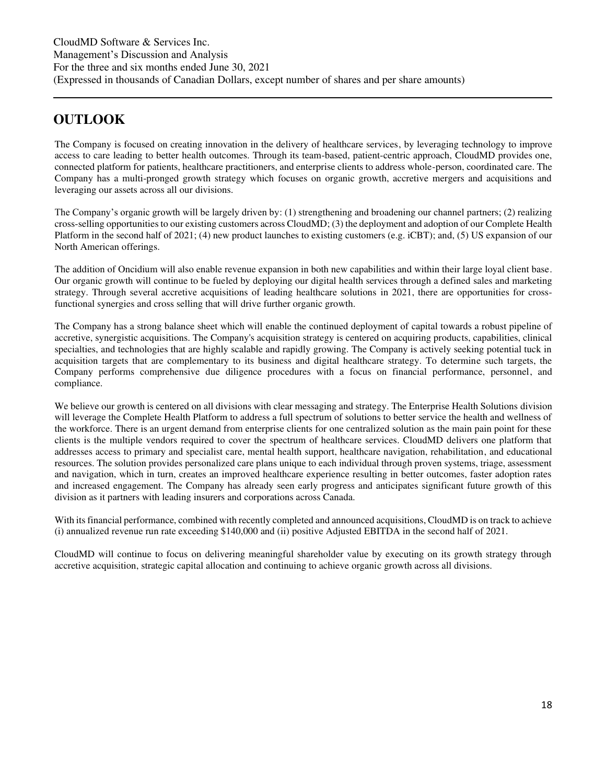### <span id="page-17-0"></span>**OUTLOOK**

The Company is focused on creating innovation in the delivery of healthcare services, by leveraging technology to improve access to care leading to better health outcomes. Through its team-based, patient-centric approach, CloudMD provides one, connected platform for patients, healthcare practitioners, and enterprise clients to address whole-person, coordinated care. The Company has a multi-pronged growth strategy which focuses on organic growth, accretive mergers and acquisitions and leveraging our assets across all our divisions.

The Company's organic growth will be largely driven by: (1) strengthening and broadening our channel partners; (2) realizing cross-selling opportunities to our existing customers across CloudMD; (3) the deployment and adoption of our Complete Health Platform in the second half of 2021; (4) new product launches to existing customers (e.g. iCBT); and, (5) US expansion of our North American offerings.

The addition of Oncidium will also enable revenue expansion in both new capabilities and within their large loyal client base. Our organic growth will continue to be fueled by deploying our digital health services through a defined sales and marketing strategy. Through several accretive acquisitions of leading healthcare solutions in 2021, there are opportunities for crossfunctional synergies and cross selling that will drive further organic growth.

The Company has a strong balance sheet which will enable the continued deployment of capital towards a robust pipeline of accretive, synergistic acquisitions. The Company's acquisition strategy is centered on acquiring products, capabilities, clinical specialties, and technologies that are highly scalable and rapidly growing. The Company is actively seeking potential tuck in acquisition targets that are complementary to its business and digital healthcare strategy. To determine such targets, the Company performs comprehensive due diligence procedures with a focus on financial performance, personnel, and compliance.

We believe our growth is centered on all divisions with clear messaging and strategy. The Enterprise Health Solutions division will leverage the Complete Health Platform to address a full spectrum of solutions to better service the health and wellness of the workforce. There is an urgent demand from enterprise clients for one centralized solution as the main pain point for these clients is the multiple vendors required to cover the spectrum of healthcare services. CloudMD delivers one platform that addresses access to primary and specialist care, mental health support, healthcare navigation, rehabilitation, and educational resources. The solution provides personalized care plans unique to each individual through proven systems, triage, assessment and navigation, which in turn, creates an improved healthcare experience resulting in better outcomes, faster adoption rates and increased engagement. The Company has already seen early progress and anticipates significant future growth of this division as it partners with leading insurers and corporations across Canada.

With its financial performance, combined with recently completed and announced acquisitions, CloudMD is on track to achieve (i) annualized revenue run rate exceeding \$140,000 and (ii) positive Adjusted EBITDA in the second half of 2021.

CloudMD will continue to focus on delivering meaningful shareholder value by executing on its growth strategy through accretive acquisition, strategic capital allocation and continuing to achieve organic growth across all divisions.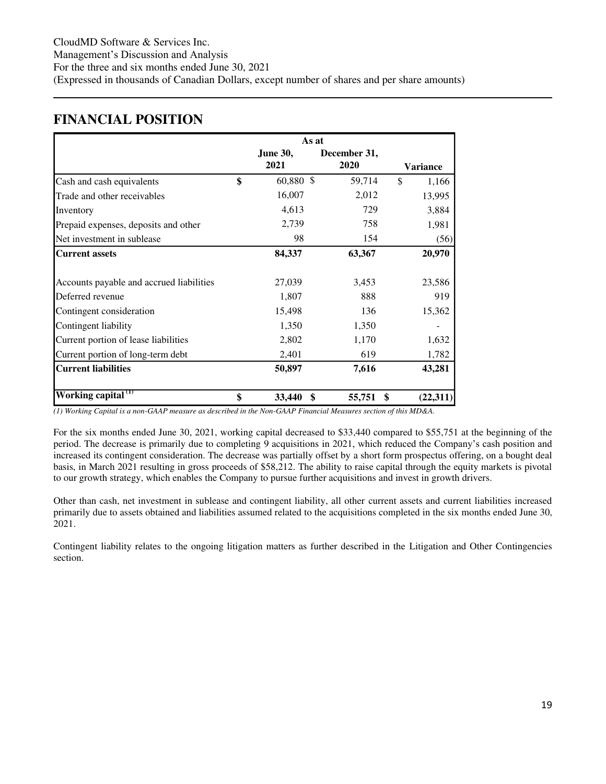### <span id="page-18-0"></span>**FINANCIAL POSITION**

|                                          |                 | As at        |    |                 |  |  |
|------------------------------------------|-----------------|--------------|----|-----------------|--|--|
|                                          | <b>June 30,</b> | December 31, |    |                 |  |  |
|                                          | 2021            | 2020         |    | <b>Variance</b> |  |  |
| Cash and cash equivalents                | \$<br>60,880 \$ | 59,714       | \$ | 1,166           |  |  |
| Trade and other receivables              | 16,007          | 2,012        |    | 13,995          |  |  |
| Inventory                                | 4,613           | 729          |    | 3,884           |  |  |
| Prepaid expenses, deposits and other     | 2,739           | 758          |    | 1,981           |  |  |
| Net investment in sublease               | 98              | 154          |    | (56)            |  |  |
| <b>Current assets</b>                    | 84,337          | 63,367       |    | 20,970          |  |  |
|                                          |                 |              |    |                 |  |  |
| Accounts payable and accrued liabilities | 27,039          | 3,453        |    | 23,586          |  |  |
| Deferred revenue                         | 1,807           | 888          |    | 919             |  |  |
| Contingent consideration                 | 15,498          | 136          |    | 15,362          |  |  |
| Contingent liability                     | 1,350           | 1,350        |    |                 |  |  |
| Current portion of lease liabilities     | 2,802           | 1,170        |    | 1,632           |  |  |
| Current portion of long-term debt        | 2,401           | 619          |    | 1,782           |  |  |
| <b>Current liabilities</b>               | 50,897          | 7,616        |    | 43,281          |  |  |
| Working capital <sup>(1)</sup>           | \$<br>33,440    | \$<br>55,751 | \$ | (22, 311)       |  |  |

*(1) Working Capital is a non-GAAP measure as described in the Non-GAAP Financial Measures section of this MD&A.* 

For the six months ended June 30, 2021, working capital decreased to \$33,440 compared to \$55,751 at the beginning of the period. The decrease is primarily due to completing 9 acquisitions in 2021, which reduced the Company's cash position and increased its contingent consideration. The decrease was partially offset by a short form prospectus offering, on a bought deal basis, in March 2021 resulting in gross proceeds of \$58,212. The ability to raise capital through the equity markets is pivotal to our growth strategy, which enables the Company to pursue further acquisitions and invest in growth drivers.

Other than cash, net investment in sublease and contingent liability, all other current assets and current liabilities increased primarily due to assets obtained and liabilities assumed related to the acquisitions completed in the six months ended June 30, 2021.

Contingent liability relates to the ongoing litigation matters as further described in the Litigation and Other Contingencies section.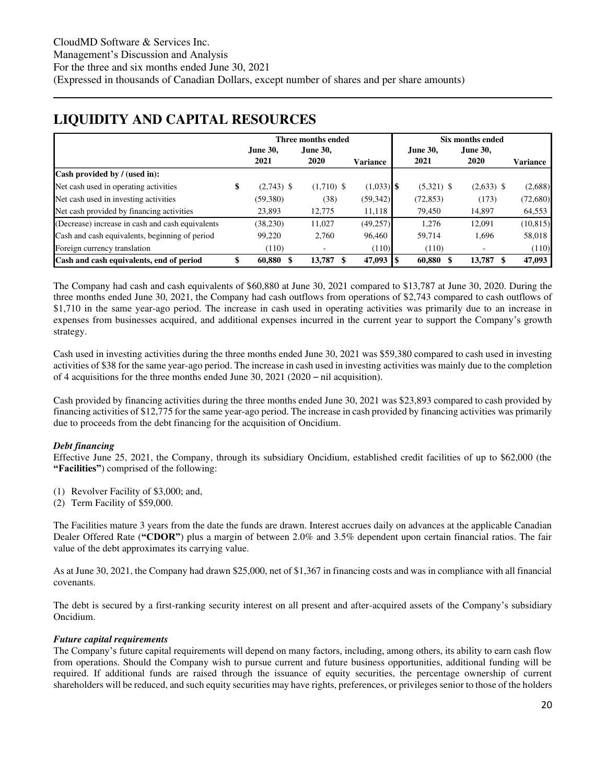### <span id="page-19-0"></span>**LIQUIDITY AND CAPITAL RESOURCES**

|                                                  |                    | Three months ended |                 |                 | Six months ended |                 |
|--------------------------------------------------|--------------------|--------------------|-----------------|-----------------|------------------|-----------------|
|                                                  | <b>June 30.</b>    | June 30.           |                 | <b>June 30.</b> | <b>June 30.</b>  |                 |
|                                                  | 2021               | 2020               | <b>Variance</b> | 2021            | 2020             | <b>Variance</b> |
| Cash provided by / (used in):                    |                    |                    |                 |                 |                  |                 |
| Net cash used in operating activities            | \$<br>$(2,743)$ \$ | $(1,710)$ \$       | $(1,033)$ \$    | $(5,321)$ \$    | $(2,633)$ \$     | (2,688)         |
| Net cash used in investing activities            | (59,380)           | (38)               | (59, 342)       | (72, 853)       | (173)            | (72,680)        |
| Net cash provided by financing activities        | 23,893             | 12.775             | 11,118          | 79,450          | 14,897           | 64,553          |
| (Decrease) increase in cash and cash equivalents | (38, 230)          | 11,027             | (49, 257)       | 1.276           | 12,091           | (10, 815)       |
| Cash and cash equivalents, beginning of period   | 99,220             | 2.760              | 96,460          | 59,714          | 1,696            | 58,018          |
| Foreign currency translation                     | (110)              |                    | (110)           | (110)           |                  | (110)           |
| Cash and cash equivalents, end of period         | 60,880             | 13,787             | 47,093          | 60,880          | 13,787           | 47,093          |

The Company had cash and cash equivalents of \$60,880 at June 30, 2021 compared to \$13,787 at June 30, 2020. During the three months ended June 30, 2021, the Company had cash outflows from operations of \$2,743 compared to cash outflows of \$1,710 in the same year-ago period. The increase in cash used in operating activities was primarily due to an increase in expenses from businesses acquired, and additional expenses incurred in the current year to support the Company's growth strategy.

Cash used in investing activities during the three months ended June 30, 2021 was \$59,380 compared to cash used in investing activities of \$38 for the same year-ago period. The increase in cash used in investing activities was mainly due to the completion of 4 acquisitions for the three months ended June 30, 2021 (2020 – nil acquisition).

Cash provided by financing activities during the three months ended June 30, 2021 was \$23,893 compared to cash provided by financing activities of \$12,775 for the same year-ago period. The increase in cash provided by financing activities was primarily due to proceeds from the debt financing for the acquisition of Oncidium.

### *Debt financing*

Effective June 25, 2021, the Company, through its subsidiary Oncidium, established credit facilities of up to \$62,000 (the **"Facilities"**) comprised of the following:

- (1) Revolver Facility of \$3,000; and,
- (2) Term Facility of \$59,000.

The Facilities mature 3 years from the date the funds are drawn. Interest accrues daily on advances at the applicable Canadian Dealer Offered Rate (**"CDOR"**) plus a margin of between 2.0% and 3.5% dependent upon certain financial ratios. The fair value of the debt approximates its carrying value.

As at June 30, 2021, the Company had drawn \$25,000, net of \$1,367 in financing costs and was in compliance with all financial covenants.

The debt is secured by a first-ranking security interest on all present and after-acquired assets of the Company's subsidiary Oncidium.

#### *Future capital requirements*

The Company's future capital requirements will depend on many factors, including, among others, its ability to earn cash flow from operations. Should the Company wish to pursue current and future business opportunities, additional funding will be required. If additional funds are raised through the issuance of equity securities, the percentage ownership of current shareholders will be reduced, and such equity securities may have rights, preferences, or privileges senior to those of the holders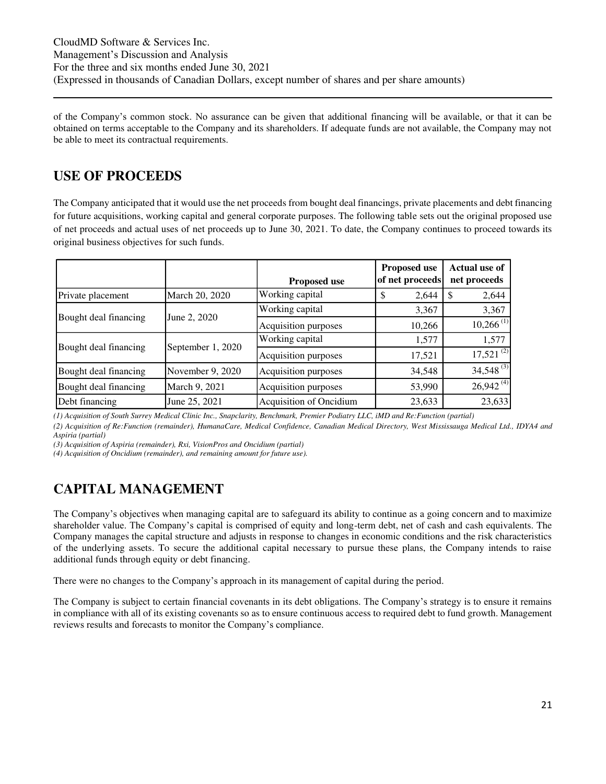of the Company's common stock. No assurance can be given that additional financing will be available, or that it can be obtained on terms acceptable to the Company and its shareholders. If adequate funds are not available, the Company may not be able to meet its contractual requirements.

### <span id="page-20-0"></span>**USE OF PROCEEDS**

The Company anticipated that it would use the net proceeds from bought deal financings, private placements and debt financing for future acquisitions, working capital and general corporate purposes. The following table sets out the original proposed use of net proceeds and actual uses of net proceeds up to June 30, 2021. To date, the Company continues to proceed towards its original business objectives for such funds.

|                       |                   | <b>Proposed use</b>     | <b>Proposed use</b><br>of net proceeds | <b>Actual use of</b><br>net proceeds |
|-----------------------|-------------------|-------------------------|----------------------------------------|--------------------------------------|
| Private placement     | March 20, 2020    | Working capital         | 2,644<br>\$                            | 2,644                                |
|                       |                   | Working capital         | 3,367                                  | 3,367                                |
| Bought deal financing | June 2, 2020      | Acquisition purposes    | 10,266                                 | $10,266$ <sup>(1)</sup>              |
|                       |                   | Working capital         | 1,577                                  | 1,577                                |
| Bought deal financing | September 1, 2020 | Acquisition purposes    | 17,521                                 | $17,521^{(2)}$                       |
| Bought deal financing | November 9, 2020  | Acquisition purposes    | 34,548                                 | $34,548^{(3)}$                       |
| Bought deal financing | March 9, 2021     | Acquisition purposes    | 53,990                                 | $26,942^{(4)}$                       |
| Debt financing        | June 25, 2021     | Acquisition of Oncidium | 23,633                                 | 23,633                               |

*(1) Acquisition of South Surrey Medical Clinic Inc., Snapclarity, Benchmark, Premier Podiatry LLC, iMD and Re:Function (partial)* 

*(2) Acquisition of Re:Function (remainder), HumanaCare, Medical Confidence, Canadian Medical Directory, West Mississauga Medical Ltd., IDYA4 and Aspiria (partial)* 

*(3) Acquisition of Aspiria (remainder), Rxi, VisionPros and Oncidium (partial)* 

*(4) Acquisition of Oncidium (remainder), and remaining amount for future use).* 

## <span id="page-20-1"></span>**CAPITAL MANAGEMENT**

The Company's objectives when managing capital are to safeguard its ability to continue as a going concern and to maximize shareholder value. The Company's capital is comprised of equity and long-term debt, net of cash and cash equivalents. The Company manages the capital structure and adjusts in response to changes in economic conditions and the risk characteristics of the underlying assets. To secure the additional capital necessary to pursue these plans, the Company intends to raise additional funds through equity or debt financing.

There were no changes to the Company's approach in its management of capital during the period.

The Company is subject to certain financial covenants in its debt obligations. The Company's strategy is to ensure it remains in compliance with all of its existing covenants so as to ensure continuous access to required debt to fund growth. Management reviews results and forecasts to monitor the Company's compliance.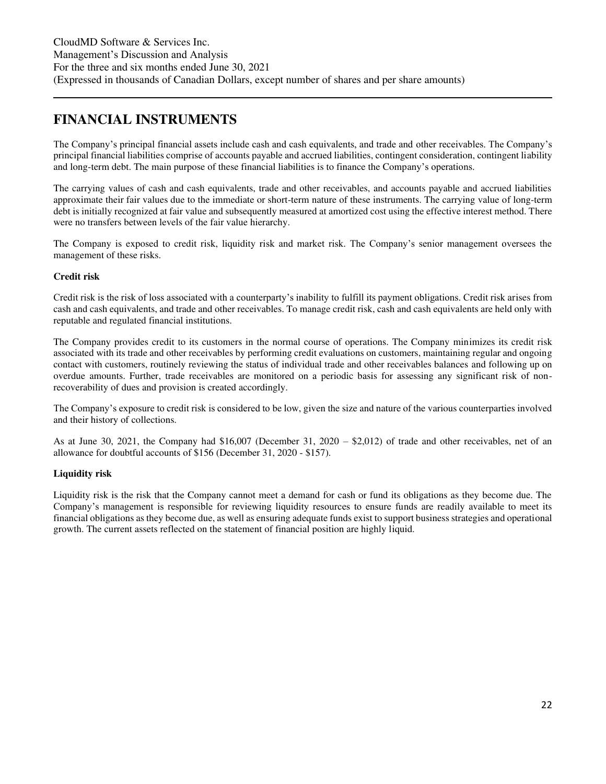### <span id="page-21-0"></span>**FINANCIAL INSTRUMENTS**

The Company's principal financial assets include cash and cash equivalents, and trade and other receivables. The Company's principal financial liabilities comprise of accounts payable and accrued liabilities, contingent consideration, contingent liability and long-term debt. The main purpose of these financial liabilities is to finance the Company's operations.

The carrying values of cash and cash equivalents, trade and other receivables, and accounts payable and accrued liabilities approximate their fair values due to the immediate or short-term nature of these instruments. The carrying value of long-term debt is initially recognized at fair value and subsequently measured at amortized cost using the effective interest method. There were no transfers between levels of the fair value hierarchy.

The Company is exposed to credit risk, liquidity risk and market risk. The Company's senior management oversees the management of these risks.

#### **Credit risk**

Credit risk is the risk of loss associated with a counterparty's inability to fulfill its payment obligations. Credit risk arises from cash and cash equivalents, and trade and other receivables. To manage credit risk, cash and cash equivalents are held only with reputable and regulated financial institutions.

The Company provides credit to its customers in the normal course of operations. The Company minimizes its credit risk associated with its trade and other receivables by performing credit evaluations on customers, maintaining regular and ongoing contact with customers, routinely reviewing the status of individual trade and other receivables balances and following up on overdue amounts. Further, trade receivables are monitored on a periodic basis for assessing any significant risk of nonrecoverability of dues and provision is created accordingly.

The Company's exposure to credit risk is considered to be low, given the size and nature of the various counterparties involved and their history of collections.

As at June 30, 2021, the Company had \$16,007 (December 31, 2020 – \$2,012) of trade and other receivables, net of an allowance for doubtful accounts of \$156 (December 31, 2020 - \$157).

#### **Liquidity risk**

Liquidity risk is the risk that the Company cannot meet a demand for cash or fund its obligations as they become due. The Company's management is responsible for reviewing liquidity resources to ensure funds are readily available to meet its financial obligations as they become due, as well as ensuring adequate funds exist to support business strategies and operational growth. The current assets reflected on the statement of financial position are highly liquid.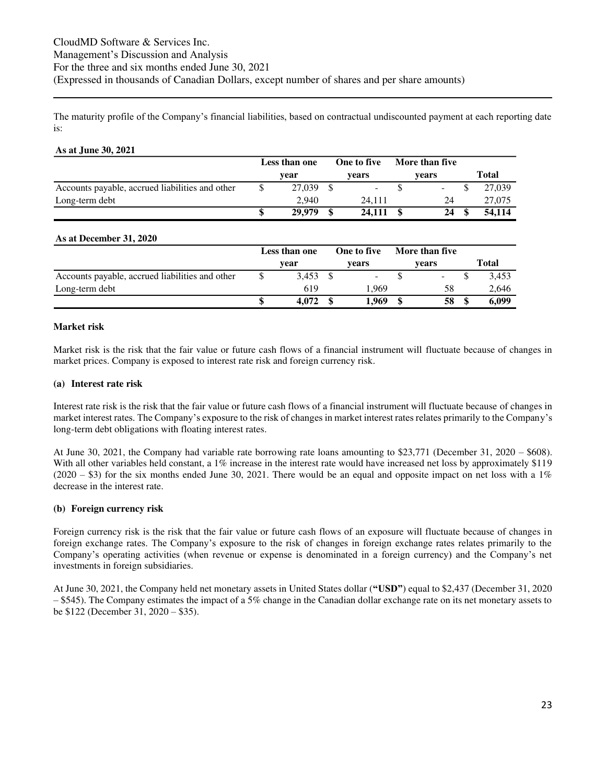The maturity profile of the Company's financial liabilities, based on contractual undiscounted payment at each reporting date is:

#### **As at June 30, 2021 Less than one year One to five years More than five years Total** Accounts payable, accrued liabilities and other  $\qquad$   $\qquad$   $\qquad$   $\qquad$   $\qquad$   $\qquad$   $\qquad$   $\qquad$   $\qquad$   $\qquad$   $\qquad$   $\qquad$   $\qquad$   $\qquad$   $\qquad$   $\qquad$   $\qquad$   $\qquad$   $\qquad$   $\qquad$   $\qquad$   $\qquad$   $\qquad$   $\qquad$   $\qquad$   $\qquad$   $\qquad$   $\qquad$   $\qquad$  Long-term debt 2,940 24,111 24 27,075 **\$ 24,111 29,979 \$ \$ 54,114 24 \$ As at December 31, 2020 Less than one year One to five years More than five years Total** Accounts payable, accrued liabilities and other  $\qquad$   $\qquad$   $\qquad$   $\qquad$   $\qquad$   $\qquad$   $\qquad$   $\qquad$   $\qquad$   $\qquad$   $\qquad$   $\qquad$   $\qquad$   $\qquad$   $\qquad$   $\qquad$   $\qquad$   $\qquad$   $\qquad$   $\qquad$   $\qquad$   $\qquad$   $\qquad$   $\qquad$   $\qquad$   $\qquad$   $\qquad$   $\qquad$   $\qquad$  Long-term debt 619 1,969 58 2,646

#### **Market risk**

Market risk is the risk that the fair value or future cash flows of a financial instrument will fluctuate because of changes in market prices. Company is exposed to interest rate risk and foreign currency risk.

**\$ 1,969 4,072 \$ \$ 6,099 58 \$** 

#### **(a) Interest rate risk**

Interest rate risk is the risk that the fair value or future cash flows of a financial instrument will fluctuate because of changes in market interest rates. The Company's exposure to the risk of changes in market interest rates relates primarily to the Company's long-term debt obligations with floating interest rates.

At June 30, 2021, the Company had variable rate borrowing rate loans amounting to \$23,771 (December 31, 2020 – \$608). With all other variables held constant, a 1% increase in the interest rate would have increased net loss by approximately \$119  $(2020 - $3)$  for the six months ended June 30, 2021. There would be an equal and opposite impact on net loss with a 1% decrease in the interest rate.

#### **(b) Foreign currency risk**

Foreign currency risk is the risk that the fair value or future cash flows of an exposure will fluctuate because of changes in foreign exchange rates. The Company's exposure to the risk of changes in foreign exchange rates relates primarily to the Company's operating activities (when revenue or expense is denominated in a foreign currency) and the Company's net investments in foreign subsidiaries.

At June 30, 2021, the Company held net monetary assets in United States dollar (**"USD"**) equal to \$2,437 (December 31, 2020  $-$  \$545). The Company estimates the impact of a 5% change in the Canadian dollar exchange rate on its net monetary assets to be \$122 (December 31, 2020 – \$35).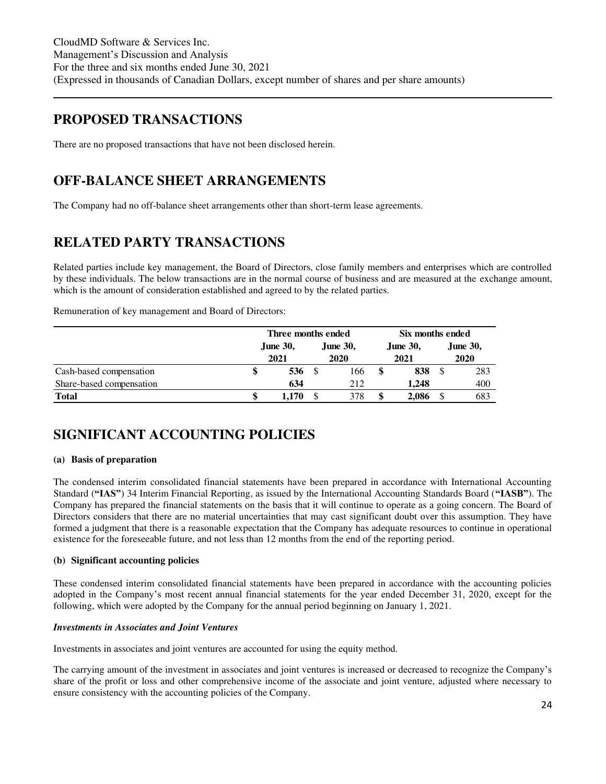### <span id="page-23-0"></span>**PROPOSED TRANSACTIONS**

There are no proposed transactions that have not been disclosed herein.

### <span id="page-23-1"></span>**OFF-BALANCE SHEET ARRANGEMENTS**

The Company had no off-balance sheet arrangements other than short-term lease agreements.

### <span id="page-23-2"></span>**RELATED PARTY TRANSACTIONS**

Related parties include key management, the Board of Directors, close family members and enterprises which are controlled by these individuals. The below transactions are in the normal course of business and are measured at the exchange amount, which is the amount of consideration established and agreed to by the related parties.

Remuneration of key management and Board of Directors:

|                          |  | Six months ended        |                         |                         |                         |
|--------------------------|--|-------------------------|-------------------------|-------------------------|-------------------------|
|                          |  | <b>June 30,</b><br>2021 | <b>June 30,</b><br>2020 | <b>June 30,</b><br>2021 | <b>June 30,</b><br>2020 |
| Cash-based compensation  |  | 536                     | 166                     | 838                     | 283                     |
| Share-based compensation |  | 634                     | 212                     | 1.248                   | 400                     |
| <b>Total</b>             |  | l.170                   | 378                     | \$<br>2,086             | 683                     |

### <span id="page-23-3"></span>**SIGNIFICANT ACCOUNTING POLICIES**

#### **(a) Basis of preparation**

The condensed interim consolidated financial statements have been prepared in accordance with International Accounting Standard (**"IAS"**) 34 Interim Financial Reporting, as issued by the International Accounting Standards Board (**"IASB"**). The Company has prepared the financial statements on the basis that it will continue to operate as a going concern. The Board of Directors considers that there are no material uncertainties that may cast significant doubt over this assumption. They have formed a judgment that there is a reasonable expectation that the Company has adequate resources to continue in operational existence for the foreseeable future, and not less than 12 months from the end of the reporting period.

#### **(b) Significant accounting policies**

These condensed interim consolidated financial statements have been prepared in accordance with the accounting policies adopted in the Company's most recent annual financial statements for the year ended December 31, 2020, except for the following, which were adopted by the Company for the annual period beginning on January 1, 2021.

#### *Investments in Associates and Joint Ventures*

Investments in associates and joint ventures are accounted for using the equity method.

The carrying amount of the investment in associates and joint ventures is increased or decreased to recognize the Company's share of the profit or loss and other comprehensive income of the associate and joint venture, adjusted where necessary to ensure consistency with the accounting policies of the Company.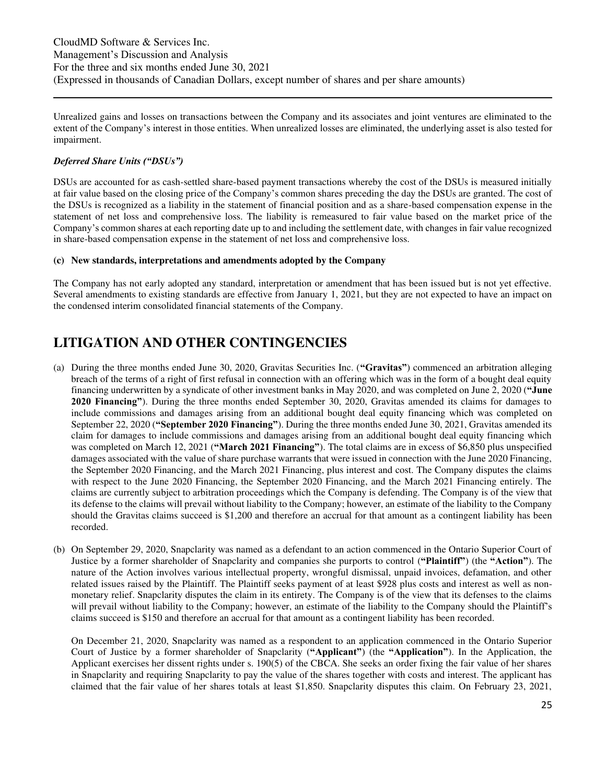Unrealized gains and losses on transactions between the Company and its associates and joint ventures are eliminated to the extent of the Company's interest in those entities. When unrealized losses are eliminated, the underlying asset is also tested for impairment.

#### *Deferred Share Units ("DSUs")*

DSUs are accounted for as cash-settled share-based payment transactions whereby the cost of the DSUs is measured initially at fair value based on the closing price of the Company's common shares preceding the day the DSUs are granted. The cost of the DSUs is recognized as a liability in the statement of financial position and as a share-based compensation expense in the statement of net loss and comprehensive loss. The liability is remeasured to fair value based on the market price of the Company's common shares at each reporting date up to and including the settlement date, with changes in fair value recognized in share-based compensation expense in the statement of net loss and comprehensive loss.

#### **(c) New standards, interpretations and amendments adopted by the Company**

The Company has not early adopted any standard, interpretation or amendment that has been issued but is not yet effective. Several amendments to existing standards are effective from January 1, 2021, but they are not expected to have an impact on the condensed interim consolidated financial statements of the Company.

### <span id="page-24-0"></span>**LITIGATION AND OTHER CONTINGENCIES**

- (a) During the three months ended June 30, 2020, Gravitas Securities Inc. (**"Gravitas"**) commenced an arbitration alleging breach of the terms of a right of first refusal in connection with an offering which was in the form of a bought deal equity financing underwritten by a syndicate of other investment banks in May 2020, and was completed on June 2, 2020 (**"June 2020 Financing"**). During the three months ended September 30, 2020, Gravitas amended its claims for damages to include commissions and damages arising from an additional bought deal equity financing which was completed on September 22, 2020 (**"September 2020 Financing"**). During the three months ended June 30, 2021, Gravitas amended its claim for damages to include commissions and damages arising from an additional bought deal equity financing which was completed on March 12, 2021 (**"March 2021 Financing"**). The total claims are in excess of \$6,850 plus unspecified damages associated with the value of share purchase warrants that were issued in connection with the June 2020 Financing, the September 2020 Financing, and the March 2021 Financing, plus interest and cost. The Company disputes the claims with respect to the June 2020 Financing, the September 2020 Financing, and the March 2021 Financing entirely. The claims are currently subject to arbitration proceedings which the Company is defending. The Company is of the view that its defense to the claims will prevail without liability to the Company; however, an estimate of the liability to the Company should the Gravitas claims succeed is \$1,200 and therefore an accrual for that amount as a contingent liability has been recorded.
- (b) On September 29, 2020, Snapclarity was named as a defendant to an action commenced in the Ontario Superior Court of Justice by a former shareholder of Snapclarity and companies she purports to control (**"Plaintiff"**) (the **"Action"**). The nature of the Action involves various intellectual property, wrongful dismissal, unpaid invoices, defamation, and other related issues raised by the Plaintiff. The Plaintiff seeks payment of at least \$928 plus costs and interest as well as nonmonetary relief. Snapclarity disputes the claim in its entirety. The Company is of the view that its defenses to the claims will prevail without liability to the Company; however, an estimate of the liability to the Company should the Plaintiff's claims succeed is \$150 and therefore an accrual for that amount as a contingent liability has been recorded.

On December 21, 2020, Snapclarity was named as a respondent to an application commenced in the Ontario Superior Court of Justice by a former shareholder of Snapclarity (**"Applicant"**) (the **"Application"**). In the Application, the Applicant exercises her dissent rights under s. 190(5) of the CBCA. She seeks an order fixing the fair value of her shares in Snapclarity and requiring Snapclarity to pay the value of the shares together with costs and interest. The applicant has claimed that the fair value of her shares totals at least \$1,850. Snapclarity disputes this claim. On February 23, 2021,